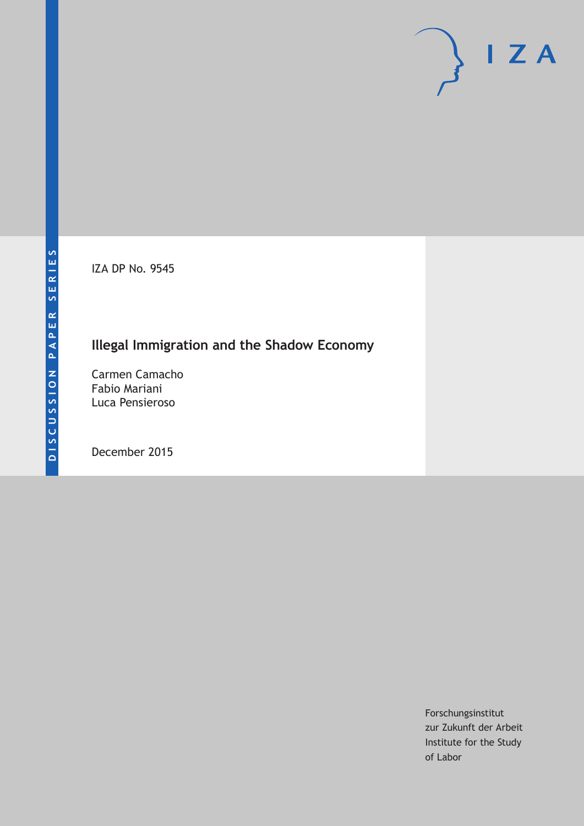IZA DP No. 9545

# **Illegal Immigration and the Shadow Economy**

Carmen Camacho Fabio Mariani Luca Pensieroso

December 2015

Forschungsinstitut zur Zukunft der Arbeit Institute for the Study of Labor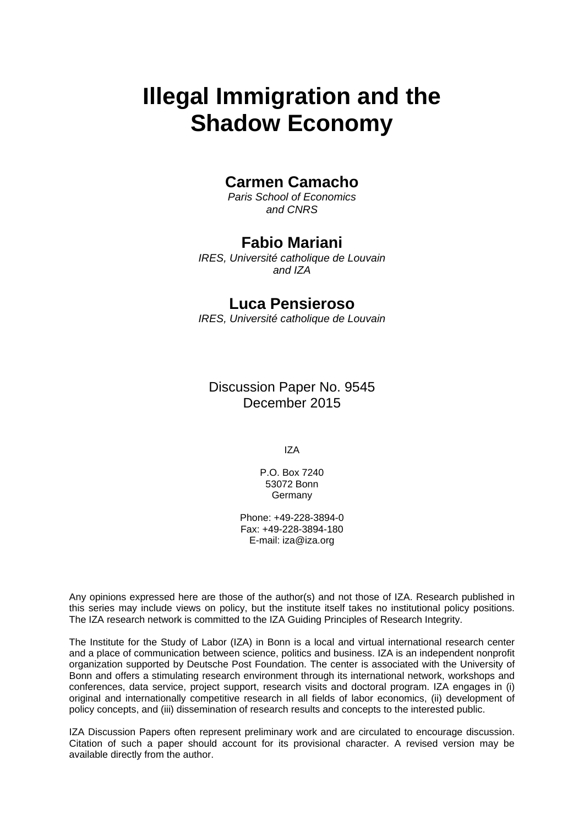# **Illegal Immigration and the Shadow Economy**

### **Carmen Camacho**

*Paris School of Economics and CNRS* 

### **Fabio Mariani**

*IRES, Université catholique de Louvain and IZA* 

### **Luca Pensieroso**

*IRES, Université catholique de Louvain*

Discussion Paper No. 9545 December 2015

IZA

P.O. Box 7240 53072 Bonn Germany

Phone: +49-228-3894-0 Fax: +49-228-3894-180 E-mail: iza@iza.org

Any opinions expressed here are those of the author(s) and not those of IZA. Research published in this series may include views on policy, but the institute itself takes no institutional policy positions. The IZA research network is committed to the IZA Guiding Principles of Research Integrity.

The Institute for the Study of Labor (IZA) in Bonn is a local and virtual international research center and a place of communication between science, politics and business. IZA is an independent nonprofit organization supported by Deutsche Post Foundation. The center is associated with the University of Bonn and offers a stimulating research environment through its international network, workshops and conferences, data service, project support, research visits and doctoral program. IZA engages in (i) original and internationally competitive research in all fields of labor economics, (ii) development of policy concepts, and (iii) dissemination of research results and concepts to the interested public.

IZA Discussion Papers often represent preliminary work and are circulated to encourage discussion. Citation of such a paper should account for its provisional character. A revised version may be available directly from the author.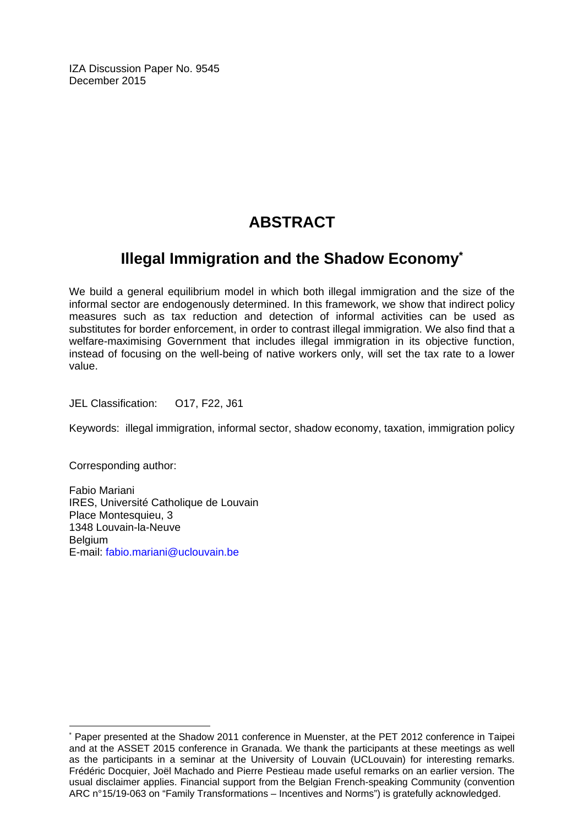IZA Discussion Paper No. 9545 December 2015

# **ABSTRACT**

## **Illegal Immigration and the Shadow Economy\***

We build a general equilibrium model in which both illegal immigration and the size of the informal sector are endogenously determined. In this framework, we show that indirect policy measures such as tax reduction and detection of informal activities can be used as substitutes for border enforcement, in order to contrast illegal immigration. We also find that a welfare-maximising Government that includes illegal immigration in its objective function, instead of focusing on the well-being of native workers only, will set the tax rate to a lower value.

JEL Classification: O17, F22, J61

Keywords: illegal immigration, informal sector, shadow economy, taxation, immigration policy

Corresponding author:

 $\overline{\phantom{a}}$ 

Fabio Mariani IRES, Université Catholique de Louvain Place Montesquieu, 3 1348 Louvain-la-Neuve **Belgium** E-mail: fabio.mariani@uclouvain.be

<sup>\*</sup> Paper presented at the Shadow 2011 conference in Muenster, at the PET 2012 conference in Taipei and at the ASSET 2015 conference in Granada. We thank the participants at these meetings as well as the participants in a seminar at the University of Louvain (UCLouvain) for interesting remarks. Frédéric Docquier, Joël Machado and Pierre Pestieau made useful remarks on an earlier version. The usual disclaimer applies. Financial support from the Belgian French-speaking Community (convention ARC n°15/19-063 on "Family Transformations – Incentives and Norms") is gratefully acknowledged.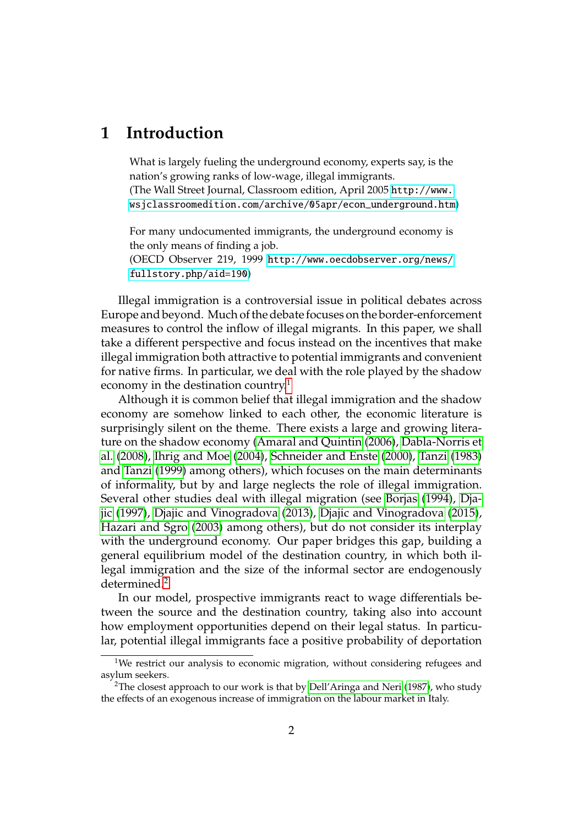### **1 Introduction**

What is largely fueling the underground economy, experts say, is the nation's growing ranks of low-wage, illegal immigrants. (The Wall Street Journal, Classroom edition, April 2005 [http://www.](http://www.wsjclassroomedition.com/archive/05apr/econ_underground.htm) [wsjclassroomedition.com/archive/05apr/econ\\_underground.htm](http://www.wsjclassroomedition.com/archive/05apr/econ_underground.htm))

For many undocumented immigrants, the underground economy is the only means of finding a job. (OECD Observer 219, 1999 [http://www.oecdobserver.org/news/](http://www.oecdobserver.org/news/fullstory.php/aid=190) [fullstory.php/aid=190](http://www.oecdobserver.org/news/fullstory.php/aid=190))

Illegal immigration is a controversial issue in political debates across Europe and beyond. Much of the debate focuses on the border-enforcement measures to control the inflow of illegal migrants. In this paper, we shall take a different perspective and focus instead on the incentives that make illegal immigration both attractive to potential immigrants and convenient for native firms. In particular, we deal with the role played by the shadow economy in the destination country.<sup>[1](#page-3-0)</sup>

Although it is common belief that illegal immigration and the shadow economy are somehow linked to each other, the economic literature is surprisingly silent on the theme. There exists a large and growing literature on the shadow economy [\(Amaral and Quintin](#page-21-0) [\(2006\)](#page-21-0), [Dabla-Norris et](#page-21-1) [al.](#page-21-1) [\(2008\)](#page-21-1), [Ihrig and Moe](#page-22-0) [\(2004\)](#page-22-0), [Schneider and Enste](#page-22-1) [\(2000\)](#page-22-1), [Tanzi](#page-22-2) [\(1983\)](#page-22-2) and [Tanzi](#page-22-3) [\(1999\)](#page-22-3) among others), which focuses on the main determinants of informality, but by and large neglects the role of illegal immigration. Several other studies deal with illegal migration (see [Borjas](#page-21-2) [\(1994\)](#page-21-2), [Dja](#page-22-4)[jic](#page-22-4) [\(1997\)](#page-22-4), [Djajic and Vinogradova](#page-22-5) [\(2013\)](#page-22-5), [Djajic and Vinogradova](#page-22-6) [\(2015\)](#page-22-6), [Hazari and Sgro](#page-22-7) [\(2003\)](#page-22-7) among others), but do not consider its interplay with the underground economy. Our paper bridges this gap, building a general equilibrium model of the destination country, in which both illegal immigration and the size of the informal sector are endogenously determined.<sup>[2](#page-3-1)</sup>

In our model, prospective immigrants react to wage differentials between the source and the destination country, taking also into account how employment opportunities depend on their legal status. In particular, potential illegal immigrants face a positive probability of deportation

<span id="page-3-0"></span><sup>&</sup>lt;sup>1</sup>We restrict our analysis to economic migration, without considering refugees and asylum seekers.

<span id="page-3-1"></span><sup>2</sup>The closest approach to our work is that by [Dell'Aringa and Neri](#page-22-8) [\(1987\)](#page-22-8), who study the effects of an exogenous increase of immigration on the labour market in Italy.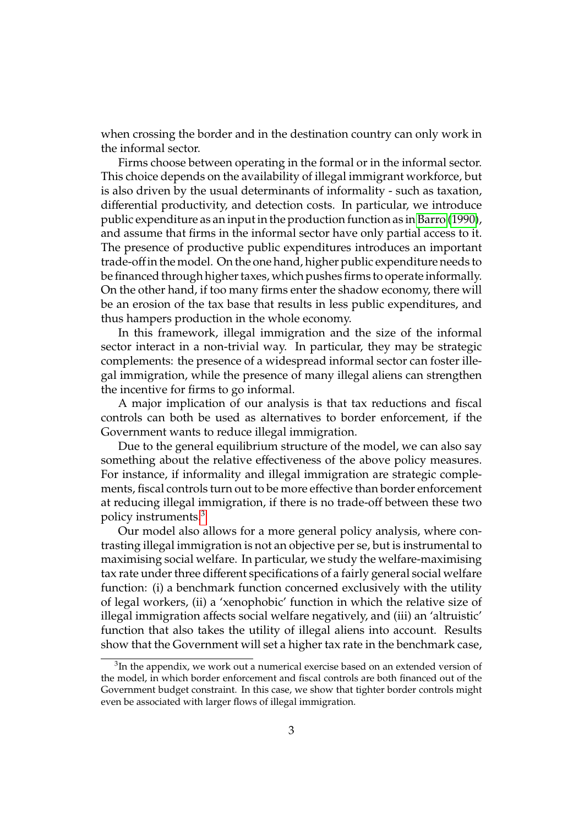when crossing the border and in the destination country can only work in the informal sector.

Firms choose between operating in the formal or in the informal sector. This choice depends on the availability of illegal immigrant workforce, but is also driven by the usual determinants of informality - such as taxation, differential productivity, and detection costs. In particular, we introduce public expenditure as an input in the production function as in [Barro](#page-21-3) [\(1990\)](#page-21-3), and assume that firms in the informal sector have only partial access to it. The presence of productive public expenditures introduces an important trade-off in the model. On the one hand, higher public expenditure needs to be financed through higher taxes, which pushes firms to operate informally. On the other hand, if too many firms enter the shadow economy, there will be an erosion of the tax base that results in less public expenditures, and thus hampers production in the whole economy.

In this framework, illegal immigration and the size of the informal sector interact in a non-trivial way. In particular, they may be strategic complements: the presence of a widespread informal sector can foster illegal immigration, while the presence of many illegal aliens can strengthen the incentive for firms to go informal.

A major implication of our analysis is that tax reductions and fiscal controls can both be used as alternatives to border enforcement, if the Government wants to reduce illegal immigration.

Due to the general equilibrium structure of the model, we can also say something about the relative effectiveness of the above policy measures. For instance, if informality and illegal immigration are strategic complements, fiscal controls turn out to be more effective than border enforcement at reducing illegal immigration, if there is no trade-off between these two policy instruments.[3](#page-4-0)

Our model also allows for a more general policy analysis, where contrasting illegal immigration is not an objective per se, but is instrumental to maximising social welfare. In particular, we study the welfare-maximising tax rate under three different specifications of a fairly general social welfare function: (i) a benchmark function concerned exclusively with the utility of legal workers, (ii) a 'xenophobic' function in which the relative size of illegal immigration affects social welfare negatively, and (iii) an 'altruistic' function that also takes the utility of illegal aliens into account. Results show that the Government will set a higher tax rate in the benchmark case,

<span id="page-4-0"></span> $3$ In the appendix, we work out a numerical exercise based on an extended version of the model, in which border enforcement and fiscal controls are both financed out of the Government budget constraint. In this case, we show that tighter border controls might even be associated with larger flows of illegal immigration.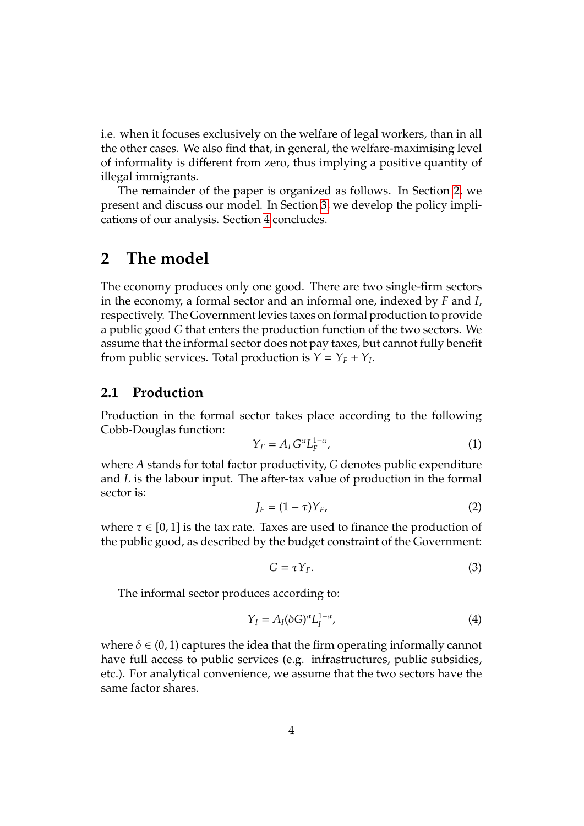i.e. when it focuses exclusively on the welfare of legal workers, than in all the other cases. We also find that, in general, the welfare-maximising level of informality is different from zero, thus implying a positive quantity of illegal immigrants.

The remainder of the paper is organized as follows. In Section [2,](#page-5-0) we present and discuss our model. In Section [3,](#page-13-0) we develop the policy implications of our analysis. Section [4](#page-21-4) concludes.

### <span id="page-5-0"></span>**2 The model**

The economy produces only one good. There are two single-firm sectors in the economy, a formal sector and an informal one, indexed by *F* and *I*, respectively. The Government levies taxes on formal production to provide a public good *G* that enters the production function of the two sectors. We assume that the informal sector does not pay taxes, but cannot fully benefit from public services. Total production is  $Y = Y_F + Y_I$ .

### **2.1 Production**

Production in the formal sector takes place according to the following Cobb-Douglas function:

<span id="page-5-1"></span>
$$
Y_F = A_F G^{\alpha} L_F^{1-\alpha},\tag{1}
$$

where *A* stands for total factor productivity, *G* denotes public expenditure and *L* is the labour input. The after-tax value of production in the formal sector is:

$$
J_F = (1 - \tau)Y_F,\tag{2}
$$

where  $\tau \in [0,1]$  is the tax rate. Taxes are used to finance the production of the public good, as described by the budget constraint of the Government:

<span id="page-5-3"></span>
$$
G = \tau Y_F. \tag{3}
$$

The informal sector produces according to:

<span id="page-5-2"></span>
$$
Y_I = A_I (\delta G)^{\alpha} L_I^{1-\alpha}, \tag{4}
$$

where  $\delta \in (0, 1)$  captures the idea that the firm operating informally cannot have full access to public services (e.g. infrastructures, public subsidies, etc.). For analytical convenience, we assume that the two sectors have the same factor shares.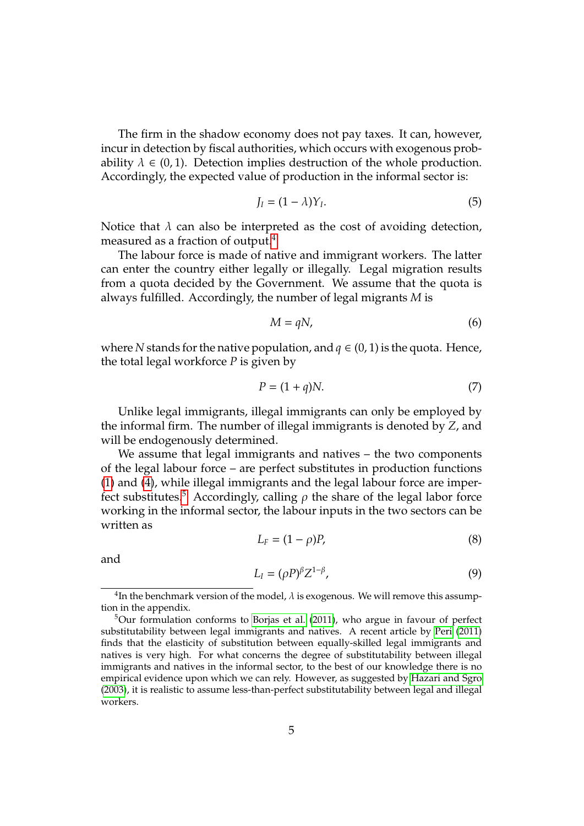The firm in the shadow economy does not pay taxes. It can, however, incur in detection by fiscal authorities, which occurs with exogenous probability  $\lambda \in (0, 1)$ . Detection implies destruction of the whole production. Accordingly, the expected value of production in the informal sector is:

$$
J_I = (1 - \lambda)Y_I.
$$
 (5)

Notice that  $\lambda$  can also be interpreted as the cost of avoiding detection, measured as a fraction of output.[4](#page-6-0)

The labour force is made of native and immigrant workers. The latter can enter the country either legally or illegally. Legal migration results from a quota decided by the Government. We assume that the quota is always fulfilled. Accordingly, the number of legal migrants *M* is

$$
M = qN,\tag{6}
$$

where *N* stands for the native population, and  $q \in (0, 1)$  is the quota. Hence, the total legal workforce *P* is given by

<span id="page-6-3"></span>
$$
P = (1 + q)N.\t(7)
$$

Unlike legal immigrants, illegal immigrants can only be employed by the informal firm. The number of illegal immigrants is denoted by *Z*, and will be endogenously determined.

We assume that legal immigrants and natives – the two components of the legal labour force – are perfect substitutes in production functions [\(1\)](#page-5-1) and [\(4\)](#page-5-2), while illegal immigrants and the legal labour force are imper-fect substitutes.<sup>[5](#page-6-1)</sup> Accordingly, calling  $\rho$  the share of the legal labor force working in the informal sector, the labour inputs in the two sectors can be written as

<span id="page-6-4"></span>
$$
L_F = (1 - \rho)P,\tag{8}
$$

and

<span id="page-6-2"></span>
$$
L_I = (\rho P)^{\beta} Z^{1-\beta},\tag{9}
$$

<span id="page-6-0"></span> $^4$ In the benchmark version of the model,  $\lambda$  is exogenous. We will remove this assumption in the appendix.

<span id="page-6-1"></span><sup>&</sup>lt;sup>5</sup>Our formulation conforms to [Borjas et al.](#page-21-5) [\(2011\)](#page-21-5), who argue in favour of perfect substitutability between legal immigrants and natives. A recent article by [Peri](#page-22-9) [\(2011\)](#page-22-9) finds that the elasticity of substitution between equally-skilled legal immigrants and natives is very high. For what concerns the degree of substitutability between illegal immigrants and natives in the informal sector, to the best of our knowledge there is no empirical evidence upon which we can rely. However, as suggested by [Hazari and Sgro](#page-22-7) [\(2003\)](#page-22-7), it is realistic to assume less-than-perfect substitutability between legal and illegal workers.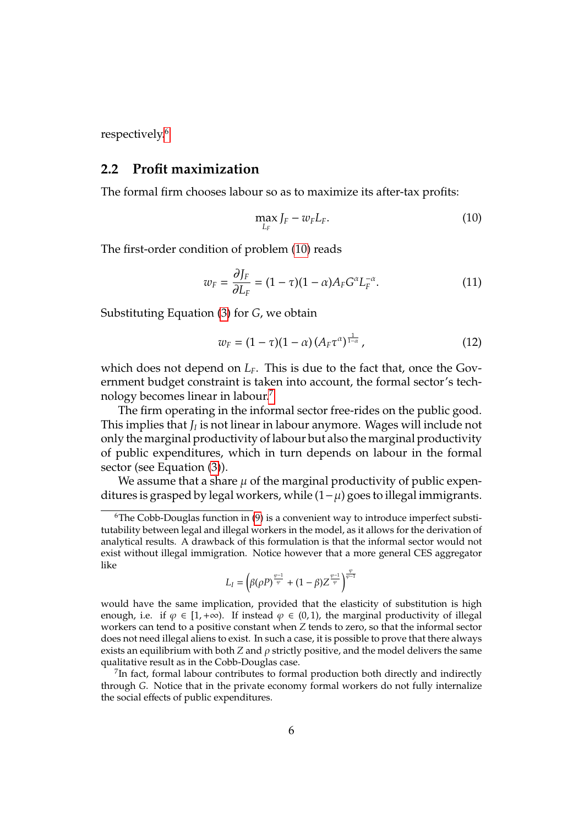respectively.[6](#page-7-0)

#### **2.2 Profit maximization**

The formal firm chooses labour so as to maximize its after-tax profits:

<span id="page-7-1"></span>
$$
\max_{L_F} J_F - w_F L_F. \tag{10}
$$

The first-order condition of problem [\(10\)](#page-7-1) reads

$$
w_F = \frac{\partial J_F}{\partial L_F} = (1 - \tau)(1 - \alpha)A_F G^{\alpha} L_F^{-\alpha}.
$$
\n(11)

Substituting Equation [\(3\)](#page-5-3) for *G*, we obtain

<span id="page-7-3"></span>
$$
w_F = (1 - \tau)(1 - \alpha) (A_F \tau^{\alpha})^{\frac{1}{1 - \alpha}}, \qquad (12)
$$

which does not depend on  $L_F$ . This is due to the fact that, once the Government budget constraint is taken into account, the formal sector's technology becomes linear in labour.[7](#page-7-2)

The firm operating in the informal sector free-rides on the public good. This implies that  $J_I$  is not linear in labour anymore. Wages will include not only the marginal productivity of labour but also the marginal productivity of public expenditures, which in turn depends on labour in the formal sector (see Equation [\(3\)](#page-5-3)).

We assume that a share  $\mu$  of the marginal productivity of public expenditures is grasped by legal workers, while  $(1 - \mu)$  goes to illegal immigrants.

$$
L_I = \left(\beta(\rho P)^{\frac{\varphi - 1}{\varphi}} + (1 - \beta)Z^{\frac{\varphi - 1}{\varphi}}\right)^{\frac{\varphi}{\varphi - 1}}
$$

would have the same implication, provided that the elasticity of substitution is high enough, i.e. if  $\varphi \in [1, +\infty)$ . If instead  $\varphi \in (0, 1)$ , the marginal productivity of illegal workers can tend to a positive constant when *Z* tends to zero, so that the informal sector does not need illegal aliens to exist. In such a case, it is possible to prove that there always exists an equilibrium with both  $Z$  and  $\rho$  strictly positive, and the model delivers the same qualitative result as in the Cobb-Douglas case.

<span id="page-7-2"></span> $7$ In fact, formal labour contributes to formal production both directly and indirectly through *G*. Notice that in the private economy formal workers do not fully internalize the social effects of public expenditures.

<span id="page-7-0"></span> $6$ The Cobb-Douglas function in [\(9\)](#page-6-2) is a convenient way to introduce imperfect substitutability between legal and illegal workers in the model, as it allows for the derivation of analytical results. A drawback of this formulation is that the informal sector would not exist without illegal immigration. Notice however that a more general CES aggregator like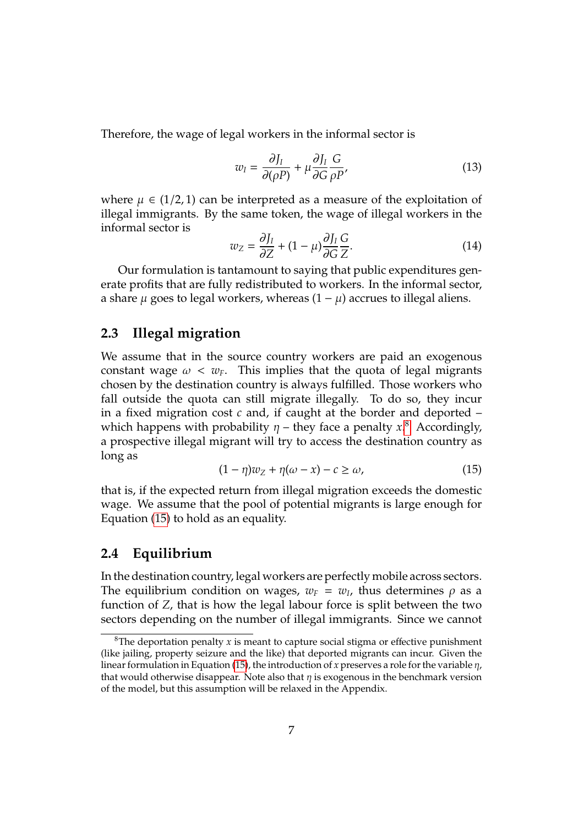Therefore, the wage of legal workers in the informal sector is

<span id="page-8-2"></span>
$$
w_{I} = \frac{\partial J_{I}}{\partial (\rho P)} + \mu \frac{\partial J_{I}}{\partial G} \frac{G}{\rho P'},
$$
\n(13)

where  $\mu \in (1/2, 1)$  can be interpreted as a measure of the exploitation of illegal immigrants. By the same token, the wage of illegal workers in the informal sector is

<span id="page-8-3"></span>
$$
w_Z = \frac{\partial J_I}{\partial Z} + (1 - \mu) \frac{\partial J_I}{\partial G} \frac{G}{Z}.
$$
 (14)

Our formulation is tantamount to saying that public expenditures generate profits that are fully redistributed to workers. In the informal sector, a share  $\mu$  goes to legal workers, whereas  $(1 - \mu)$  accrues to illegal aliens.

#### **2.3 Illegal migration**

We assume that in the source country workers are paid an exogenous constant wage  $\omega < w_F$ . This implies that the quota of legal migrants chosen by the destination country is always fulfilled. Those workers who fall outside the quota can still migrate illegally. To do so, they incur in a fixed migration cost *c* and, if caught at the border and deported – which happens with probability  $\eta$  – they face a penalty  $x$ .<sup>[8](#page-8-0)</sup> Accordingly, a prospective illegal migrant will try to access the destination country as long as

<span id="page-8-1"></span>
$$
(1 - \eta)w_Z + \eta(\omega - x) - c \ge \omega,\tag{15}
$$

that is, if the expected return from illegal migration exceeds the domestic wage. We assume that the pool of potential migrants is large enough for Equation [\(15\)](#page-8-1) to hold as an equality.

#### **2.4 Equilibrium**

In the destination country, legal workers are perfectly mobile across sectors. The equilibrium condition on wages,  $w_{F}$  =  $w_{I}$ , thus determines  $\rho$  as a function of *Z*, that is how the legal labour force is split between the two sectors depending on the number of illegal immigrants. Since we cannot

<span id="page-8-0"></span><sup>&</sup>lt;sup>8</sup>The deportation penalty  $x$  is meant to capture social stigma or effective punishment (like jailing, property seizure and the like) that deported migrants can incur. Given the linear formulation in Equation [\(15\)](#page-8-1), the introduction of *x* preserves a role for the variable  $\eta$ , that would otherwise disappear. Note also that  $\eta$  is exogenous in the benchmark version of the model, but this assumption will be relaxed in the Appendix.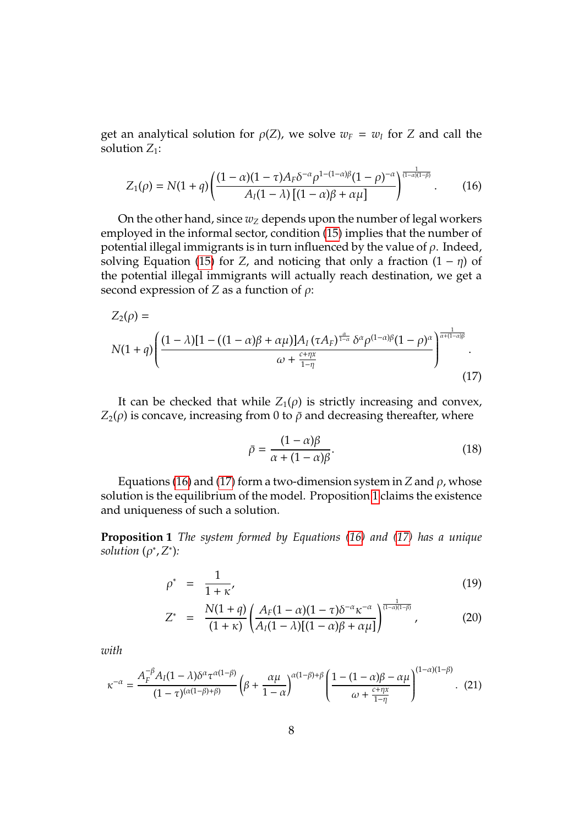get an analytical solution for  $\rho(Z)$ , we solve  $w_F = w_I$  for *Z* and call the solution  $Z_1$ :

<span id="page-9-0"></span>
$$
Z_1(\rho) = N(1+q) \left( \frac{(1-\alpha)(1-\tau)A_F \delta^{-\alpha} \rho^{1-(1-\alpha)\beta} (1-\rho)^{-\alpha}}{A_I(1-\lambda) \left[ (1-\alpha)\beta + \alpha \mu \right]} \right)^{\frac{1}{(1-\alpha)(1-\beta)}}.
$$
 (16)

On the other hand, since  $w_Z$  depends upon the number of legal workers employed in the informal sector, condition [\(15\)](#page-8-1) implies that the number of potential illegal immigrants is in turn influenced by the value of  $\rho$ . Indeed, solving Equation [\(15\)](#page-8-1) for *Z*, and noticing that only a fraction  $(1 - \eta)$  of the potential illegal immigrants will actually reach destination, we get a second expression of *Z* as a function of  $\rho$ :

<span id="page-9-1"></span>
$$
Z_2(\rho) =
$$
  
 
$$
N(1+q) \left( \frac{(1-\lambda)[1-((1-\alpha)\beta + \alpha\mu)]A_I(\tau A_F)^{\frac{\alpha}{1-\alpha}} \delta^{\alpha}\rho^{(1-\alpha)\beta}(1-\rho)^{\alpha}}{\omega + \frac{c + \eta x}{1-\eta}} \right)^{\frac{1}{\alpha + (1-\alpha)\beta}}.
$$
 (17)

It can be checked that while  $Z_1(\rho)$  is strictly increasing and convex,  $Z_2(\rho)$  is concave, increasing from 0 to  $\bar{\rho}$  and decreasing thereafter, where

<span id="page-9-3"></span>
$$
\bar{\rho} = \frac{(1 - \alpha)\beta}{\alpha + (1 - \alpha)\beta}.
$$
\n(18)

Equations [\(16\)](#page-9-0) and [\(17\)](#page-9-1) form a two-dimension system in *Z* and  $\rho$ , whose solution is the equilibrium of the model. Proposition [1](#page-9-2) claims the existence and uniqueness of such a solution.

<span id="page-9-2"></span>**Proposition 1** *The system formed by Equations [\(16\)](#page-9-0) and [\(17\)](#page-9-1) has a unique*  $\overline{\text{solution }(\rho^*,Z^*)}$ :

<span id="page-9-4"></span>
$$
\rho^* = \frac{1}{1+\kappa'},\tag{19}
$$

$$
Z^* = \frac{N(1+q)}{(1+\kappa)} \left( \frac{A_F(1-\alpha)(1-\tau)\delta^{-\alpha}\kappa^{-\alpha}}{A_I(1-\lambda)[(1-\alpha)\beta+\alpha\mu]} \right)^{\frac{1}{(1-\alpha)(1-\beta)}}, \qquad (20)
$$

*with*

$$
\kappa^{-\alpha} = \frac{A_F^{-\beta} A_I (1 - \lambda) \delta^{\alpha} \tau^{\alpha (1 - \beta)}}{(1 - \tau)^{(\alpha (1 - \beta) + \beta)}} \left(\beta + \frac{\alpha \mu}{1 - \alpha}\right)^{\alpha (1 - \beta) + \beta} \left(\frac{1 - (1 - \alpha)\beta - \alpha \mu}{\omega + \frac{c + \eta x}{1 - \eta}}\right)^{(1 - \alpha)(1 - \beta)}.
$$
 (21)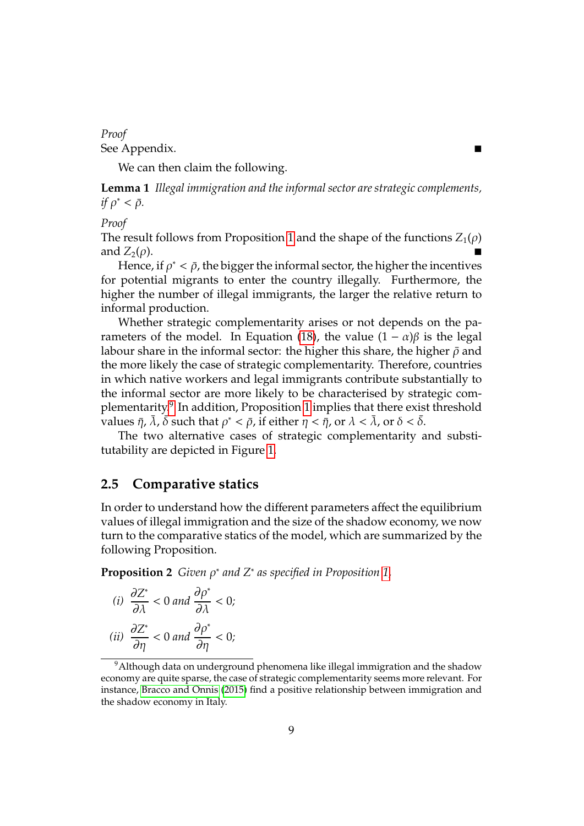#### *Proof*

See Appendix.

<span id="page-10-2"></span>We can then claim the following.

**Lemma 1** *Illegal immigration and the informal sector are strategic complements, if*  $\rho^* < \bar{\rho}$ .

*Proof*

The result follows from Proposition [1](#page-9-2) and the shape of the functions  $Z_1(\rho)$ and  $Z_2(\rho)$ .

Hence, if  $\rho^* < \bar{\rho}$ , the bigger the informal sector, the higher the incentives for potential migrants to enter the country illegally. Furthermore, the higher the number of illegal immigrants, the larger the relative return to informal production.

Whether strategic complementarity arises or not depends on the pa-rameters of the model. In Equation [\(18\)](#page-9-3), the value  $(1 - \alpha)\beta$  is the legal labour share in the informal sector: the higher this share, the higher  $\bar{\rho}$  and the more likely the case of strategic complementarity. Therefore, countries in which native workers and legal immigrants contribute substantially to the informal sector are more likely to be characterised by strategic complementarity. $^9$  $^9$  In addition, Proposition [1](#page-9-2) implies that there exist threshold values  $\bar{\eta}$ ,  $\bar{\lambda}$ ,  $\bar{\delta}$  such that  $\rho^* < \bar{\rho}$ , if either  $\eta < \bar{\eta}$ , or  $\lambda < \bar{\lambda}$ , or  $\delta < \bar{\delta}$ .

The two alternative cases of strategic complementarity and substitutability are depicted in Figure [1.](#page-11-0)

#### **2.5 Comparative statics**

In order to understand how the different parameters affect the equilibrium values of illegal immigration and the size of the shadow economy, we now turn to the comparative statics of the model, which are summarized by the following Proposition.

<span id="page-10-1"></span>**Proposition 2** *Given* ρ ∗ *and Z*<sup>∗</sup> *as specified in Proposition [1,](#page-9-2)*

(i) 
$$
\frac{\partial Z^*}{\partial \lambda} < 0
$$
 and  $\frac{\partial \rho^*}{\partial \lambda} < 0$ ;  
(ii)  $\frac{\partial Z^*}{\partial \eta} < 0$  and  $\frac{\partial \rho^*}{\partial \eta} < 0$ ;

<span id="page-10-0"></span><sup>&</sup>lt;sup>9</sup>Although data on underground phenomena like illegal immigration and the shadow economy are quite sparse, the case of strategic complementarity seems more relevant. For instance, [Bracco and Onnis](#page-21-6) [\(2015\)](#page-21-6) find a positive relationship between immigration and the shadow economy in Italy.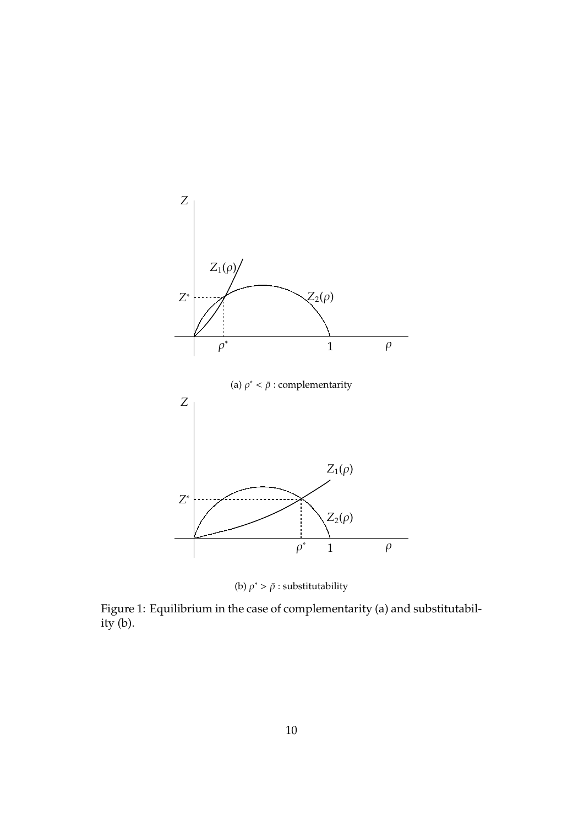<span id="page-11-0"></span>

(b)  $\rho^* > \bar{\rho}$  : substitutability

Figure 1: Equilibrium in the case of complementarity (a) and substitutabil $ity(b)$ .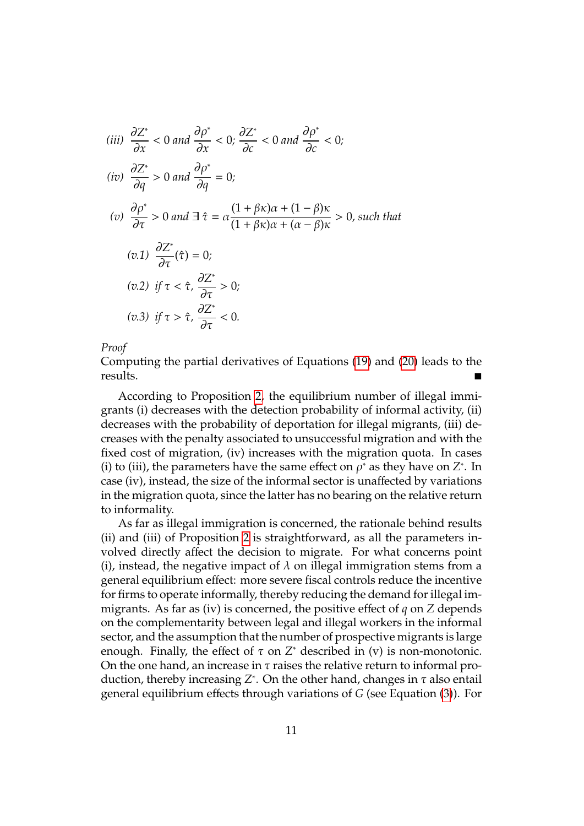(iii) 
$$
\frac{\partial Z^*}{\partial x} < 0
$$
 and  $\frac{\partial \rho^*}{\partial x} < 0$ ;  $\frac{\partial Z^*}{\partial c} < 0$  and  $\frac{\partial \rho^*}{\partial c} < 0$ ;  
\n(iv)  $\frac{\partial Z^*}{\partial q} > 0$  and  $\frac{\partial \rho^*}{\partial q} = 0$ ;  
\n(v)  $\frac{\partial \rho^*}{\partial \tau} > 0$  and  $\exists \hat{\tau} = \alpha \frac{(1 + \beta \kappa)\alpha + (1 - \beta)\kappa}{(1 + \beta \kappa)\alpha + (\alpha - \beta)\kappa} > 0$ , such that  
\n(v,1)  $\frac{\partial Z^*}{\partial \tau}(\hat{\tau}) = 0$ ;  
\n(v,2) if  $\tau < \hat{\tau}$ ,  $\frac{\partial Z^*}{\partial \tau} > 0$ ;  
\n(v,3) if  $\tau > \hat{\tau}$ ,  $\frac{\partial Z^*}{\partial \tau} < 0$ .

*Proof*

Computing the partial derivatives of Equations [\(19\)](#page-9-4) and [\(20\)](#page-9-4) leads to the results.

According to Proposition [2,](#page-10-1) the equilibrium number of illegal immigrants (i) decreases with the detection probability of informal activity, (ii) decreases with the probability of deportation for illegal migrants, (iii) decreases with the penalty associated to unsuccessful migration and with the fixed cost of migration, (iv) increases with the migration quota. In cases (i) to (iii), the parameters have the same effect on  $\rho^*$  as they have on  $Z^*$ . In case (iv), instead, the size of the informal sector is unaffected by variations in the migration quota, since the latter has no bearing on the relative return to informality.

As far as illegal immigration is concerned, the rationale behind results (ii) and (iii) of Proposition [2](#page-10-1) is straightforward, as all the parameters involved directly affect the decision to migrate. For what concerns point (i), instead, the negative impact of  $\lambda$  on illegal immigration stems from a general equilibrium effect: more severe fiscal controls reduce the incentive for firms to operate informally, thereby reducing the demand for illegal immigrants. As far as (iv) is concerned, the positive effect of *q* on *Z* depends on the complementarity between legal and illegal workers in the informal sector, and the assumption that the number of prospective migrants is large enough. Finally, the effect of  $\tau$  on  $Z^*$  described in (v) is non-monotonic. On the one hand, an increase in  $\tau$  raises the relative return to informal production, thereby increasing *Z* ∗ . On the other hand, changes in τ also entail general equilibrium effects through variations of *G* (see Equation [\(3\)](#page-5-3)). For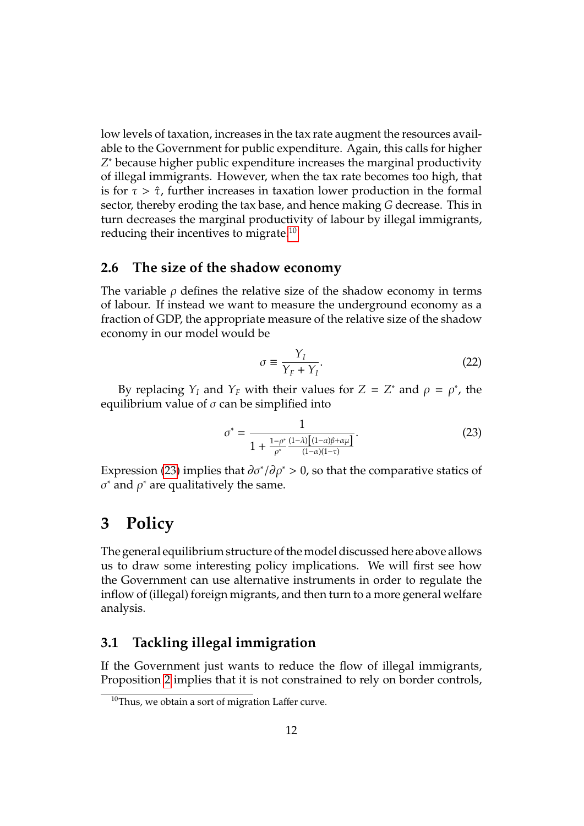low levels of taxation, increases in the tax rate augment the resources available to the Government for public expenditure. Again, this calls for higher Z<sup>\*</sup> because higher public expenditure increases the marginal productivity of illegal immigrants. However, when the tax rate becomes too high, that is for  $\tau > \hat{\tau}$ , further increases in taxation lower production in the formal sector, thereby eroding the tax base, and hence making *G* decrease. This in turn decreases the marginal productivity of labour by illegal immigrants, reducing their incentives to migrate.[10](#page-13-1)

#### **2.6 The size of the shadow economy**

The variable  $\rho$  defines the relative size of the shadow economy in terms of labour. If instead we want to measure the underground economy as a fraction of GDP, the appropriate measure of the relative size of the shadow economy in our model would be

$$
\sigma \equiv \frac{Y_I}{Y_F + Y_I}.\tag{22}
$$

By replacing  $Y_I$  and  $Y_F$  with their values for  $Z = Z^*$  and  $\rho = \rho^*$ , the equilibrium value of  $\sigma$  can be simplified into

<span id="page-13-2"></span>
$$
\sigma^* = \frac{1}{1 + \frac{1 - \rho^*}{\rho^*} \frac{(1 - \lambda) \left[ (1 - \alpha)\beta + \alpha \mu \right]}{(1 - \alpha)(1 - \tau)}}.
$$
\n(23)

Expression [\(23\)](#page-13-2) implies that  $\partial \sigma^* / \partial \rho^* > 0$ , so that the comparative statics of  $\sigma^*$  and  $\rho^*$  are qualitatively the same.

### <span id="page-13-0"></span>**3 Policy**

The general equilibrium structure of the model discussed here above allows us to draw some interesting policy implications. We will first see how the Government can use alternative instruments in order to regulate the inflow of (illegal) foreign migrants, and then turn to a more general welfare analysis.

### **3.1 Tackling illegal immigration**

If the Government just wants to reduce the flow of illegal immigrants, Proposition [2](#page-10-1) implies that it is not constrained to rely on border controls,

<span id="page-13-1"></span> $10$ Thus, we obtain a sort of migration Laffer curve.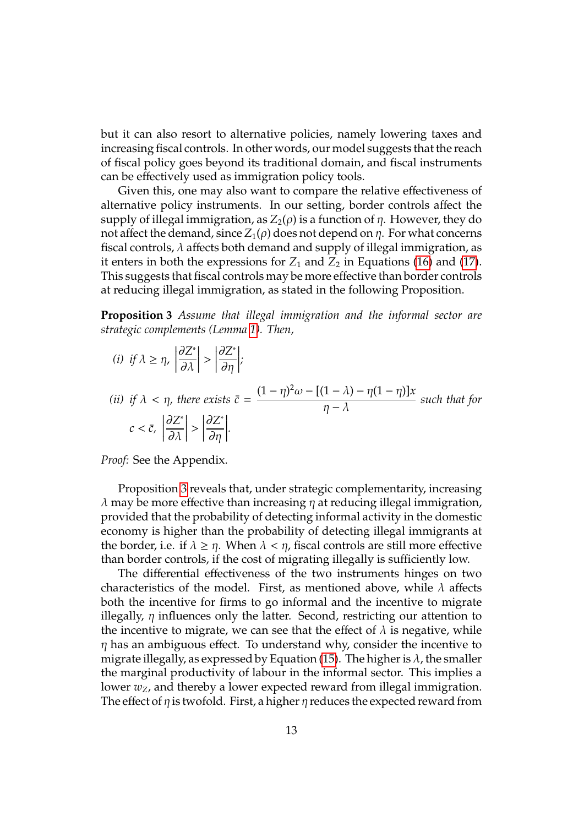but it can also resort to alternative policies, namely lowering taxes and increasing fiscal controls. In other words, our model suggests that the reach of fiscal policy goes beyond its traditional domain, and fiscal instruments can be effectively used as immigration policy tools.

Given this, one may also want to compare the relative effectiveness of alternative policy instruments. In our setting, border controls affect the supply of illegal immigration, as  $Z_2(\rho)$  is a function of  $\eta$ . However, they do not affect the demand, since  $Z_1(\rho)$  does not depend on  $\eta$ . For what concerns fiscal controls,  $\lambda$  affects both demand and supply of illegal immigration, as it enters in both the expressions for  $Z_1$  and  $Z_2$  in Equations [\(16\)](#page-9-0) and [\(17\)](#page-9-1). This suggests that fiscal controls may be more effective than border controls at reducing illegal immigration, as stated in the following Proposition.

<span id="page-14-0"></span>**Proposition 3** *Assume that illegal immigration and the informal sector are strategic complements (Lemma [1\)](#page-10-2). Then,*

$$
(i)~~if~\lambda\geq\eta,~\left|\frac{\partial Z^*}{\partial\lambda}\right|>\left|\frac{\partial Z^*}{\partial\eta}\right|;
$$

(ii) if 
$$
\lambda < \eta
$$
, there exists  $\bar{c} = \frac{(1 - \eta)^2 \omega - [(1 - \lambda) - \eta(1 - \eta)]x}{\eta - \lambda}$  such that for  $c < \bar{c}$ ,  $\left| \frac{\partial Z^*}{\partial \lambda} \right| > \left| \frac{\partial Z^*}{\partial \eta} \right|$ .

*Proof:* See the Appendix.

Proposition [3](#page-14-0) reveals that, under strategic complementarity, increasing  $\lambda$  may be more effective than increasing  $\eta$  at reducing illegal immigration, provided that the probability of detecting informal activity in the domestic economy is higher than the probability of detecting illegal immigrants at the border, i.e. if  $\lambda \geq \eta$ . When  $\lambda < \eta$ , fiscal controls are still more effective than border controls, if the cost of migrating illegally is sufficiently low.

The differential effectiveness of the two instruments hinges on two characteristics of the model. First, as mentioned above, while  $\lambda$  affects both the incentive for firms to go informal and the incentive to migrate illegally,  $\eta$  influences only the latter. Second, restricting our attention to the incentive to migrate, we can see that the effect of  $\lambda$  is negative, while  $\eta$  has an ambiguous effect. To understand why, consider the incentive to migrate illegally, as expressed by Equation [\(15\)](#page-8-1). The higher is  $\lambda$ , the smaller the marginal productivity of labour in the informal sector. This implies a lower *wZ*, and thereby a lower expected reward from illegal immigration. The effect of  $\eta$  is twofold. First, a higher  $\eta$  reduces the expected reward from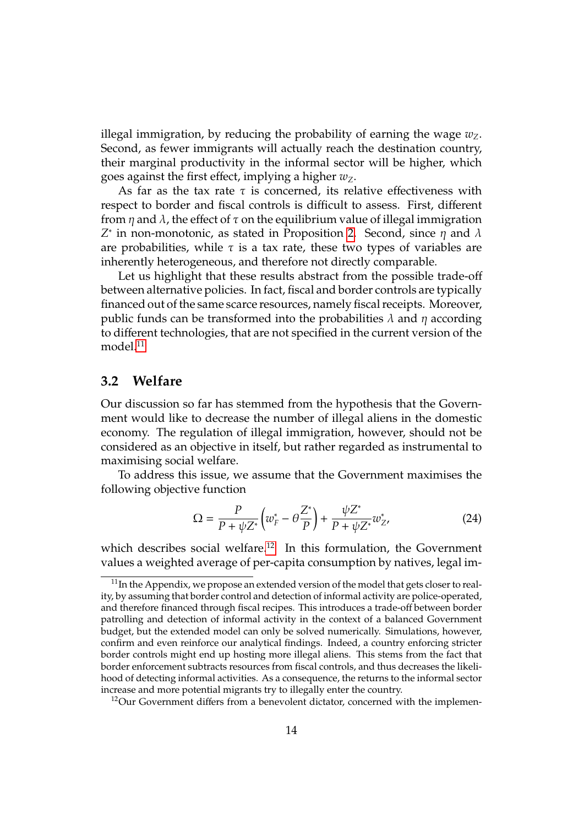illegal immigration, by reducing the probability of earning the wage  $w_z$ . Second, as fewer immigrants will actually reach the destination country, their marginal productivity in the informal sector will be higher, which goes against the first effect, implying a higher *wZ*.

As far as the tax rate  $\tau$  is concerned, its relative effectiveness with respect to border and fiscal controls is difficult to assess. First, different from  $\eta$  and  $\lambda$ , the effect of  $\tau$  on the equilibrium value of illegal immigration  $Z^*$  in non-monotonic, as stated in Proposition [2.](#page-10-1) Second, since  $η$  and  $λ$ are probabilities, while  $\tau$  is a tax rate, these two types of variables are inherently heterogeneous, and therefore not directly comparable.

Let us highlight that these results abstract from the possible trade-off between alternative policies. In fact, fiscal and border controls are typically financed out of the same scarce resources, namely fiscal receipts. Moreover, public funds can be transformed into the probabilities  $\lambda$  and  $\eta$  according to different technologies, that are not specified in the current version of the  $model.<sup>11</sup>$  $model.<sup>11</sup>$  $model.<sup>11</sup>$ 

#### **3.2 Welfare**

Our discussion so far has stemmed from the hypothesis that the Government would like to decrease the number of illegal aliens in the domestic economy. The regulation of illegal immigration, however, should not be considered as an objective in itself, but rather regarded as instrumental to maximising social welfare.

To address this issue, we assume that the Government maximises the following objective function

<span id="page-15-2"></span>
$$
\Omega = \frac{P}{P + \psi Z^*} \left( w_F^* - \theta \frac{Z^*}{P} \right) + \frac{\psi Z^*}{P + \psi Z^*} w_{Z'}^* \tag{24}
$$

which describes social welfare.<sup>[12](#page-15-1)</sup> In this formulation, the Government values a weighted average of per-capita consumption by natives, legal im-

<span id="page-15-0"></span> $11$ In the Appendix, we propose an extended version of the model that gets closer to reality, by assuming that border control and detection of informal activity are police-operated, and therefore financed through fiscal recipes. This introduces a trade-off between border patrolling and detection of informal activity in the context of a balanced Government budget, but the extended model can only be solved numerically. Simulations, however, confirm and even reinforce our analytical findings. Indeed, a country enforcing stricter border controls might end up hosting more illegal aliens. This stems from the fact that border enforcement subtracts resources from fiscal controls, and thus decreases the likelihood of detecting informal activities. As a consequence, the returns to the informal sector increase and more potential migrants try to illegally enter the country.

<span id="page-15-1"></span> $12$ Our Government differs from a benevolent dictator, concerned with the implemen-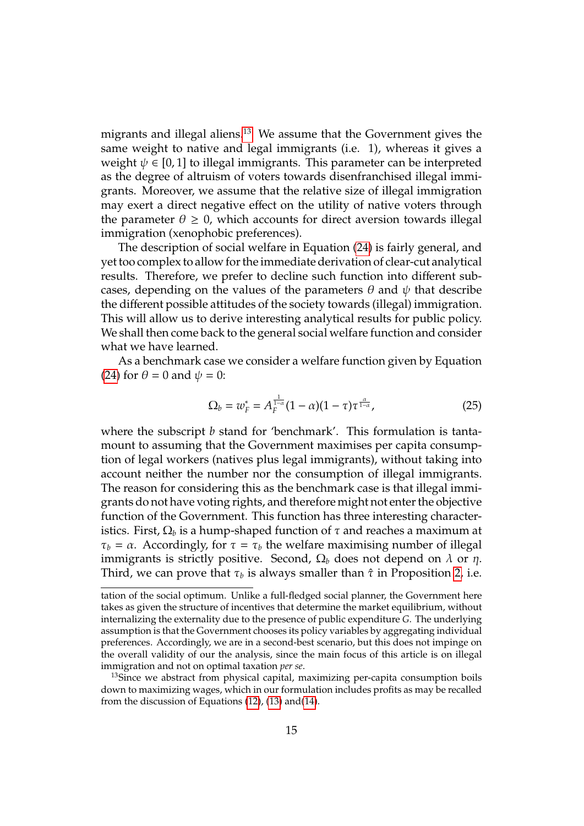migrants and illegal aliens.<sup>[13](#page-16-0)</sup> We assume that the Government gives the same weight to native and legal immigrants (i.e. 1), whereas it gives a weight  $\psi \in [0, 1]$  to illegal immigrants. This parameter can be interpreted as the degree of altruism of voters towards disenfranchised illegal immigrants. Moreover, we assume that the relative size of illegal immigration may exert a direct negative effect on the utility of native voters through the parameter  $\theta \geq 0$ , which accounts for direct aversion towards illegal immigration (xenophobic preferences).

The description of social welfare in Equation [\(24\)](#page-15-2) is fairly general, and yet too complex to allow for the immediate derivation of clear-cut analytical results. Therefore, we prefer to decline such function into different subcases, depending on the values of the parameters  $\theta$  and  $\psi$  that describe the different possible attitudes of the society towards (illegal) immigration. This will allow us to derive interesting analytical results for public policy. We shall then come back to the general social welfare function and consider what we have learned.

As a benchmark case we consider a welfare function given by Equation [\(24\)](#page-15-2) for  $\theta = 0$  and  $\psi = 0$ :

<span id="page-16-1"></span>
$$
\Omega_b = w_F^* = A_F^{\frac{1}{1-\alpha}} (1-\alpha)(1-\tau)\tau^{\frac{\alpha}{1-\alpha}}, \tag{25}
$$

where the subscript *b* stand for 'benchmark'. This formulation is tantamount to assuming that the Government maximises per capita consumption of legal workers (natives plus legal immigrants), without taking into account neither the number nor the consumption of illegal immigrants. The reason for considering this as the benchmark case is that illegal immigrants do not have voting rights, and therefore might not enter the objective function of the Government. This function has three interesting characteristics. First,  $\Omega_b$  is a hump-shaped function of  $\tau$  and reaches a maximum at  $\tau_b = \alpha$ . Accordingly, for  $\tau = \tau_b$  the welfare maximising number of illegal immigrants is strictly positive. Second,  $\Omega_b$  does not depend on  $\lambda$  or  $\eta$ . Third, we can prove that  $\tau_b$  is always smaller than  $\hat{\tau}$  in Proposition [2,](#page-10-1) i.e.

tation of the social optimum. Unlike a full-fledged social planner, the Government here takes as given the structure of incentives that determine the market equilibrium, without internalizing the externality due to the presence of public expenditure *G*. The underlying assumption is that the Government chooses its policy variables by aggregating individual preferences. Accordingly, we are in a second-best scenario, but this does not impinge on the overall validity of our the analysis, since the main focus of this article is on illegal immigration and not on optimal taxation *per se*.

<span id="page-16-0"></span><sup>&</sup>lt;sup>13</sup>Since we abstract from physical capital, maximizing per-capita consumption boils down to maximizing wages, which in our formulation includes profits as may be recalled from the discussion of Equations [\(12\)](#page-7-3), [\(13\)](#page-8-2) and[\(14\)](#page-8-3).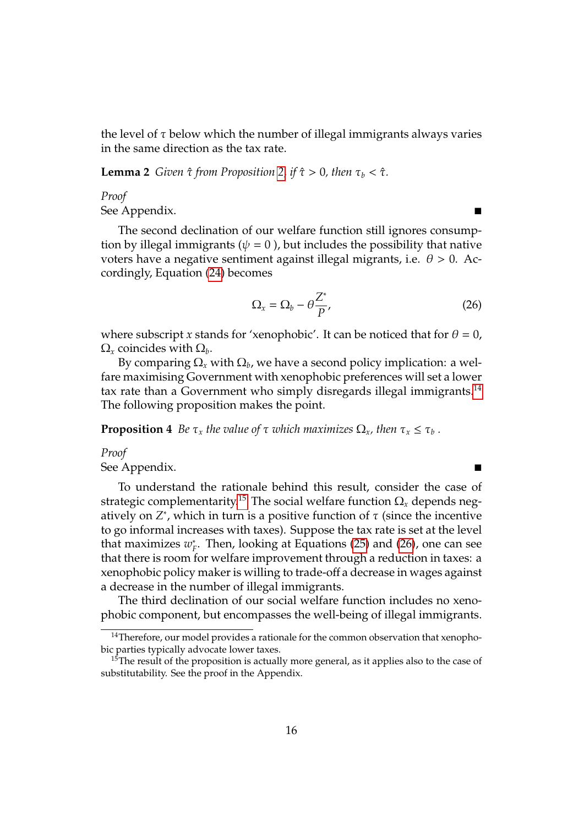the level of  $\tau$  below which the number of illegal immigrants always varies in the same direction as the tax rate.

**Lemma 2** *Given*  $\hat{\tau}$  *from Proposition [2,](#page-10-1) if*  $\hat{\tau} > 0$ *, then*  $\tau_b < \hat{\tau}$ *.* 

*Proof* See Appendix.

The second declination of our welfare function still ignores consumption by illegal immigrants ( $\psi = 0$ ), but includes the possibility that native voters have a negative sentiment against illegal migrants, i.e.  $\theta > 0$ . Accordingly, Equation [\(24\)](#page-15-2) becomes

<span id="page-17-4"></span><span id="page-17-3"></span><span id="page-17-2"></span>
$$
\Omega_x = \Omega_b - \theta \frac{Z^*}{P},\tag{26}
$$

where subscript *x* stands for 'xenophobic'. It can be noticed that for  $\theta = 0$ ,  $\Omega$ <sub>*x*</sub> coincides with  $\Omega$ <sub>*b*</sub>.

By comparing  $\Omega_x$  with  $\Omega_b$ , we have a second policy implication: a welfare maximising Government with xenophobic preferences will set a lower tax rate than a Government who simply disregards illegal immigrants.<sup>[14](#page-17-0)</sup> The following proposition makes the point.

**Proposition 4** *Be*  $\tau_x$  *the value of*  $\tau$  *which maximizes*  $\Omega_x$ *, then*  $\tau_x \leq \tau_b$ .

#### *Proof* See Appendix.

To understand the rationale behind this result, consider the case of strategic complementarity.<sup>[15](#page-17-1)</sup> The social welfare function  $\Omega_x$  depends negatively on  $Z^*$ , which in turn is a positive function of  $\tau$  (since the incentive to go informal increases with taxes). Suppose the tax rate is set at the level that maximizes  $w_i^*$ *F* . Then, looking at Equations [\(25\)](#page-16-1) and [\(26\)](#page-17-2), one can see that there is room for welfare improvement through a reduction in taxes: a xenophobic policy maker is willing to trade-off a decrease in wages against a decrease in the number of illegal immigrants.

The third declination of our social welfare function includes no xenophobic component, but encompasses the well-being of illegal immigrants.

<span id="page-17-0"></span><sup>&</sup>lt;sup>14</sup>Therefore, our model provides a rationale for the common observation that xenophobic parties typically advocate lower taxes.

<span id="page-17-1"></span><sup>&</sup>lt;sup>15</sup>The result of the proposition is actually more general, as it applies also to the case of substitutability. See the proof in the Appendix.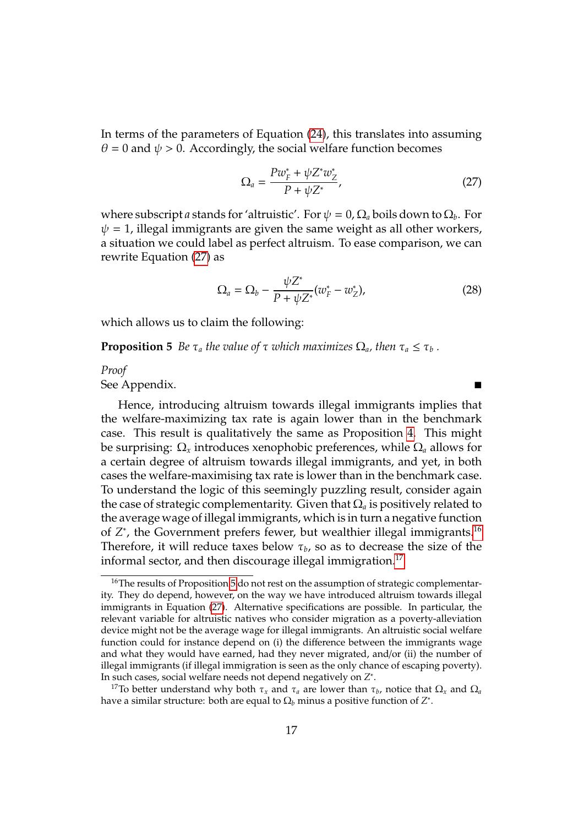In terms of the parameters of Equation [\(24\)](#page-15-2), this translates into assuming  $\theta$  = 0 and  $\psi$  > 0. Accordingly, the social welfare function becomes

<span id="page-18-0"></span>
$$
\Omega_a = \frac{P w^*_F + \psi Z^* w^*_Z}{P + \psi Z^*},
$$
\n(27)

where subscript *a* stands for 'altruistic'. For  $\psi = 0$ ,  $\Omega_a$  boils down to  $\Omega_b$ . For  $\psi = 1$ , illegal immigrants are given the same weight as all other workers, a situation we could label as perfect altruism. To ease comparison, we can rewrite Equation [\(27\)](#page-18-0) as

<span id="page-18-4"></span><span id="page-18-3"></span>
$$
\Omega_a = \Omega_b - \frac{\psi Z^*}{P + \psi Z^*} (w_F^* - w_Z^*), \tag{28}
$$

which allows us to claim the following:

**Proposition 5** *Be*  $\tau_a$  *the value of*  $\tau$  *which maximizes*  $\Omega_a$ *, then*  $\tau_a \leq \tau_b$ *.* 

#### *Proof*

See Appendix.

Hence, introducing altruism towards illegal immigrants implies that the welfare-maximizing tax rate is again lower than in the benchmark case. This result is qualitatively the same as Proposition [4.](#page-17-3) This might be surprising: Ω*<sup>x</sup>* introduces xenophobic preferences, while Ω*<sup>a</sup>* allows for a certain degree of altruism towards illegal immigrants, and yet, in both cases the welfare-maximising tax rate is lower than in the benchmark case. To understand the logic of this seemingly puzzling result, consider again the case of strategic complementarity. Given that  $\Omega_{\imath}$  is positively related to the average wage of illegal immigrants, which is in turn a negative function of *Z*<sup>\*</sup>, the Government prefers fewer, but wealthier illegal immigrants.<sup>[16](#page-18-1)</sup> Therefore, it will reduce taxes below  $\tau_b$ , so as to decrease the size of the informal sector, and then discourage illegal immigration.<sup>[17](#page-18-2)</sup>

<span id="page-18-1"></span><sup>&</sup>lt;sup>16</sup>The results of Proposition [5](#page-18-3) do not rest on the assumption of strategic complementarity. They do depend, however, on the way we have introduced altruism towards illegal immigrants in Equation [\(27\)](#page-18-0). Alternative specifications are possible. In particular, the relevant variable for altruistic natives who consider migration as a poverty-alleviation device might not be the average wage for illegal immigrants. An altruistic social welfare function could for instance depend on (i) the difference between the immigrants wage and what they would have earned, had they never migrated, and/or (ii) the number of illegal immigrants (if illegal immigration is seen as the only chance of escaping poverty). In such cases, social welfare needs not depend negatively on *Z* ∗ .

<span id="page-18-2"></span><sup>&</sup>lt;sup>17</sup> To better understand why both  $τ_x$  and  $τ_a$  are lower than  $τ_b$ , notice that  $Ω_x$  and  $Ω_a$ have a similar structure: both are equal to  $\Omega_b$  minus a positive function of  $Z^*.$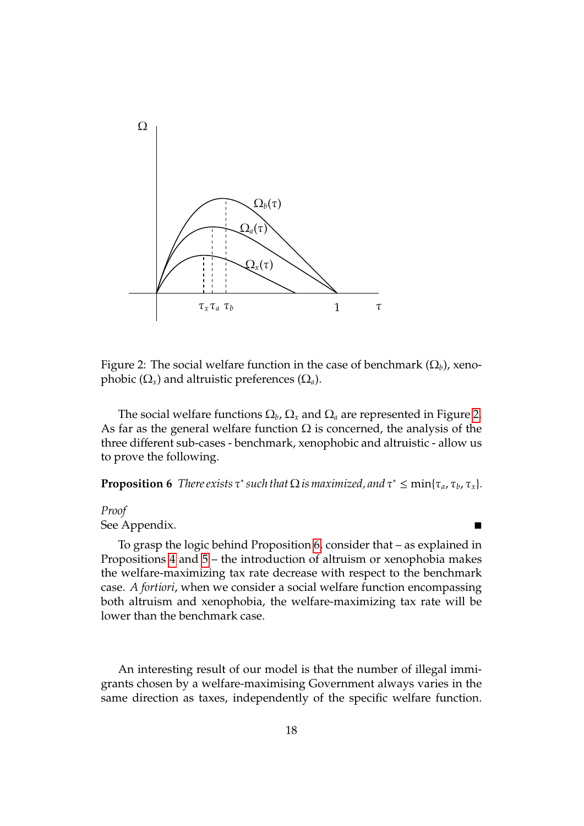<span id="page-19-0"></span>

Figure 2: The social welfare function in the case of benchmark  $(\Omega_b)$ , xenophobic  $(Ω<sub>x</sub>)$  and altruistic preferences  $(Ω<sub>a</sub>)$ .

The social welfare functions  $\Omega_b$ ,  $\Omega_x$  and  $\Omega_a$  are represented in Figure [2.](#page-19-0) As far as the general welfare function  $\Omega$  is concerned, the analysis of the three different sub-cases - benchmark, xenophobic and altruistic - allow us to prove the following.

<span id="page-19-1"></span>**Proposition 6** *There exists*  $\tau^*$  *such that*  $\Omega$  *is maximized, and*  $\tau^* \leq \min{\{\tau_a, \tau_b, \tau_x\}}$ *.* 

#### *Proof*

#### See Appendix.

To grasp the logic behind Proposition [6,](#page-19-1) consider that – as explained in Propositions [4](#page-17-3) and [5](#page-18-3) – the introduction of altruism or xenophobia makes the welfare-maximizing tax rate decrease with respect to the benchmark case. *A fortiori*, when we consider a social welfare function encompassing both altruism and xenophobia, the welfare-maximizing tax rate will be lower than the benchmark case.

An interesting result of our model is that the number of illegal immigrants chosen by a welfare-maximising Government always varies in the same direction as taxes, independently of the specific welfare function.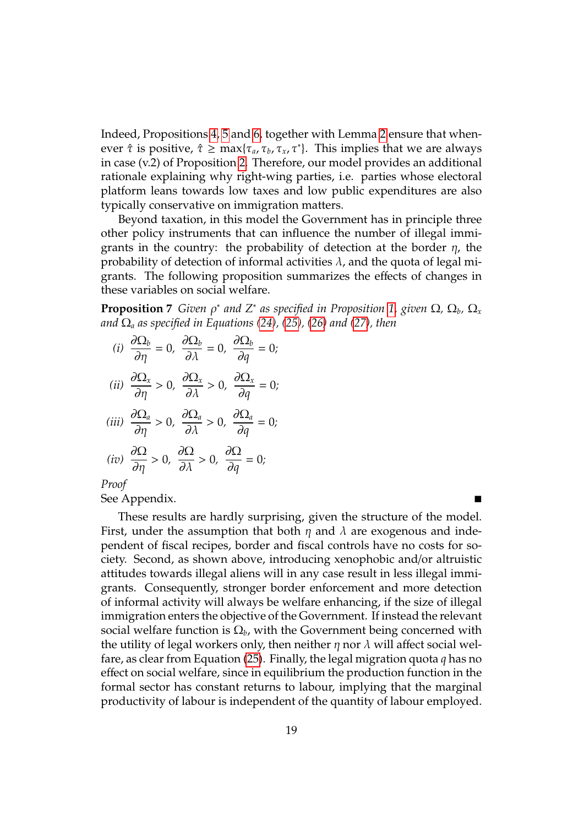Indeed, Propositions [4,](#page-17-3) [5](#page-18-3) and [6,](#page-19-1) together with Lemma [2](#page-17-4) ensure that whenever  $\hat{\tau}$  is positive,  $\hat{\tau} \ge \max\{\tau_a, \tau_b, \tau_x, \tau^*\}$ . This implies that we are always in case (v.2) of Proposition [2.](#page-10-1) Therefore, our model provides an additional rationale explaining why right-wing parties, i.e. parties whose electoral platform leans towards low taxes and low public expenditures are also typically conservative on immigration matters.

Beyond taxation, in this model the Government has in principle three other policy instruments that can influence the number of illegal immigrants in the country: the probability of detection at the border  $\eta$ , the probability of detection of informal activities  $\lambda$ , and the quota of legal migrants. The following proposition summarizes the effects of changes in these variables on social welfare.

<span id="page-20-0"></span>**Proposition 7** *Given* ρ ∗ *and Z*<sup>∗</sup> *as specified in Proposition [1,](#page-9-2) given* Ω*,* Ω*b,* Ω*<sup>x</sup> and* Ω*<sup>a</sup> as specified in Equations [\(24\)](#page-15-2), [\(25\)](#page-16-1), [\(26\)](#page-17-2) and [\(27\)](#page-18-0), then*

(i) 
$$
\frac{\partial \Omega_b}{\partial \eta} = 0
$$
,  $\frac{\partial \Omega_b}{\partial \lambda} = 0$ ,  $\frac{\partial \Omega_b}{\partial q} = 0$ ;  
\n(ii)  $\frac{\partial \Omega_x}{\partial \eta} > 0$ ,  $\frac{\partial \Omega_x}{\partial \lambda} > 0$ ,  $\frac{\partial \Omega_x}{\partial q} = 0$ ;  
\n(iii)  $\frac{\partial \Omega_a}{\partial \eta} > 0$ ,  $\frac{\partial \Omega_a}{\partial \lambda} > 0$ ,  $\frac{\partial \Omega_a}{\partial q} = 0$ ;  
\n(iv)  $\frac{\partial \Omega}{\partial \eta} > 0$ ,  $\frac{\partial \Omega}{\partial \lambda} > 0$ ,  $\frac{\partial \Omega}{\partial q} = 0$ ;  
\nProof

See Appendix.

These results are hardly surprising, given the structure of the model. First, under the assumption that both  $\eta$  and  $\lambda$  are exogenous and independent of fiscal recipes, border and fiscal controls have no costs for society. Second, as shown above, introducing xenophobic and/or altruistic attitudes towards illegal aliens will in any case result in less illegal immigrants. Consequently, stronger border enforcement and more detection of informal activity will always be welfare enhancing, if the size of illegal immigration enters the objective of the Government. If instead the relevant social welfare function is  $\Omega_b$ , with the Government being concerned with the utility of legal workers only, then neither  $\eta$  nor  $\lambda$  will affect social welfare, as clear from Equation [\(25\)](#page-16-1). Finally, the legal migration quota *q* has no effect on social welfare, since in equilibrium the production function in the formal sector has constant returns to labour, implying that the marginal productivity of labour is independent of the quantity of labour employed.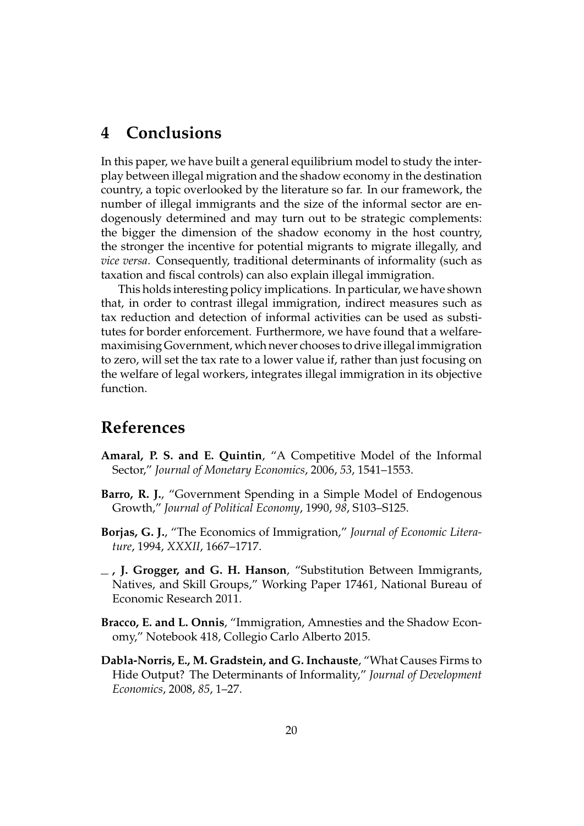### <span id="page-21-4"></span>**4 Conclusions**

In this paper, we have built a general equilibrium model to study the interplay between illegal migration and the shadow economy in the destination country, a topic overlooked by the literature so far. In our framework, the number of illegal immigrants and the size of the informal sector are endogenously determined and may turn out to be strategic complements: the bigger the dimension of the shadow economy in the host country, the stronger the incentive for potential migrants to migrate illegally, and *vice versa*. Consequently, traditional determinants of informality (such as taxation and fiscal controls) can also explain illegal immigration.

This holds interesting policy implications. In particular, we have shown that, in order to contrast illegal immigration, indirect measures such as tax reduction and detection of informal activities can be used as substitutes for border enforcement. Furthermore, we have found that a welfaremaximising Government, which never chooses to drive illegal immigration to zero, will set the tax rate to a lower value if, rather than just focusing on the welfare of legal workers, integrates illegal immigration in its objective function.

### **References**

- <span id="page-21-0"></span>**Amaral, P. S. and E. Quintin**, "A Competitive Model of the Informal Sector," *Journal of Monetary Economics*, 2006, *53*, 1541–1553.
- <span id="page-21-3"></span>**Barro, R. J.**, "Government Spending in a Simple Model of Endogenous Growth," *Journal of Political Economy*, 1990, *98*, S103–S125.
- <span id="page-21-2"></span>**Borjas, G. J.**, "The Economics of Immigration," *Journal of Economic Literature*, 1994, *XXXII*, 1667–1717.
- <span id="page-21-5"></span>**, J. Grogger, and G. H. Hanson**, "Substitution Between Immigrants, Natives, and Skill Groups," Working Paper 17461, National Bureau of Economic Research 2011.
- <span id="page-21-6"></span>**Bracco, E. and L. Onnis**, "Immigration, Amnesties and the Shadow Economy," Notebook 418, Collegio Carlo Alberto 2015.
- <span id="page-21-1"></span>**Dabla-Norris, E., M. Gradstein, and G. Inchauste**, "What Causes Firms to Hide Output? The Determinants of Informality," *Journal of Development Economics*, 2008, *85*, 1–27.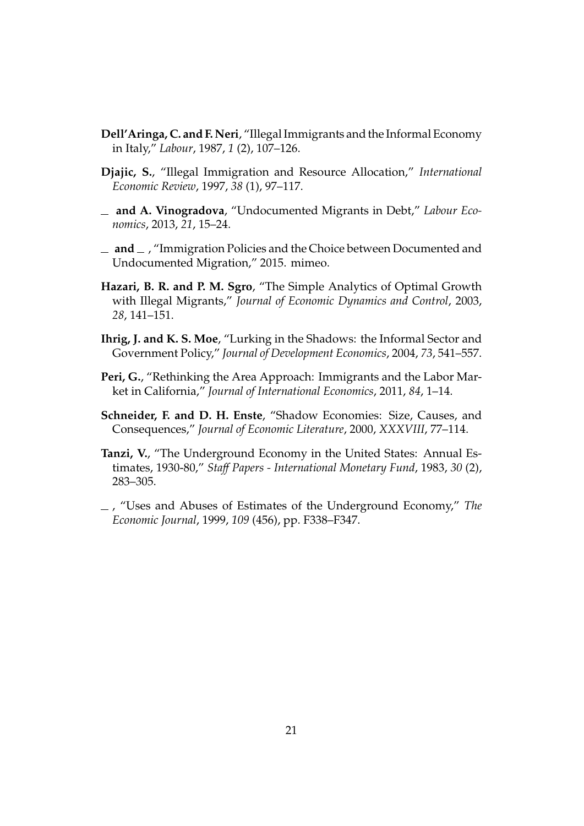- <span id="page-22-8"></span>**Dell'Aringa, C. and F. Neri**, "Illegal Immigrants and the Informal Economy in Italy," *Labour*, 1987, *1* (2), 107–126.
- <span id="page-22-4"></span>**Djajic, S.**, "Illegal Immigration and Resource Allocation," *International Economic Review*, 1997, *38* (1), 97–117.
- <span id="page-22-5"></span>**and A. Vinogradova**, "Undocumented Migrants in Debt," *Labour Economics*, 2013, *21*, 15–24.
- <span id="page-22-6"></span> $\Box$  and  $\Box$ , "Immigration Policies and the Choice between Documented and Undocumented Migration," 2015. mimeo.
- <span id="page-22-7"></span>**Hazari, B. R. and P. M. Sgro**, "The Simple Analytics of Optimal Growth with Illegal Migrants," *Journal of Economic Dynamics and Control*, 2003, *28*, 141–151.
- <span id="page-22-0"></span>**Ihrig, J. and K. S. Moe**, "Lurking in the Shadows: the Informal Sector and Government Policy," *Journal of Development Economics*, 2004, *73*, 541–557.
- <span id="page-22-9"></span>**Peri, G.**, "Rethinking the Area Approach: Immigrants and the Labor Market in California," *Journal of International Economics*, 2011, *84*, 1–14.
- <span id="page-22-1"></span>**Schneider, F. and D. H. Enste**, "Shadow Economies: Size, Causes, and Consequences," *Journal of Economic Literature*, 2000, *XXXVIII*, 77–114.
- <span id="page-22-2"></span>**Tanzi, V.**, "The Underground Economy in the United States: Annual Estimates, 1930-80," *Sta*ff *Papers - International Monetary Fund*, 1983, *30* (2), 283–305.
- <span id="page-22-3"></span>, "Uses and Abuses of Estimates of the Underground Economy," *The Economic Journal*, 1999, *109* (456), pp. F338–F347.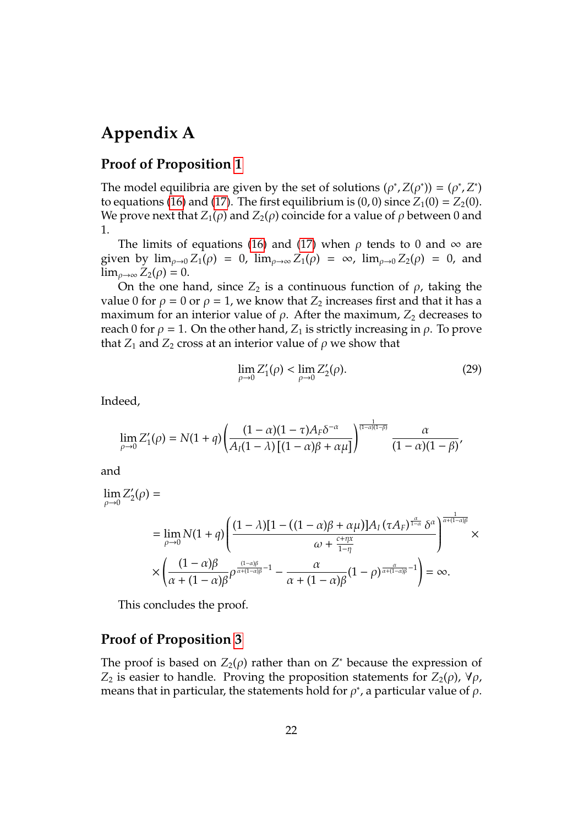# **Appendix A**

#### **Proof of Proposition [1](#page-9-2)**

The model equilibria are given by the set of solutions  $(\rho^*, Z(\rho^*)) = (\rho^*, Z^*)$ to equations [\(16\)](#page-9-0) and [\(17\)](#page-9-1). The first equilibrium is  $(0, 0)$  since  $Z_1(0) = Z_2(0)$ . We prove next that  $Z_1(\rho)$  and  $Z_2(\rho)$  coincide for a value of  $\rho$  between 0 and 1.

The limits of equations [\(16\)](#page-9-0) and [\(17\)](#page-9-1) when  $\rho$  tends to 0 and  $\infty$  are given by  $\lim_{\rho \to 0} Z_1(\rho) = 0$ ,  $\lim_{\rho \to \infty} Z_1(\rho) = \infty$ ,  $\lim_{\rho \to 0} Z_2(\rho) = 0$ , and  $\lim_{\rho\to\infty} Z_2(\rho) = 0.$ 

On the one hand, since  $Z_2$  is a continuous function of  $\rho$ , taking the value 0 for  $\rho = 0$  or  $\rho = 1$ , we know that  $Z_2$  increases first and that it has a maximum for an interior value of  $\rho$ . After the maximum,  $Z_2$  decreases to reach 0 for  $\rho = 1$ . On the other hand,  $Z_1$  is strictly increasing in  $\rho$ . To prove that  $Z_1$  and  $Z_2$  cross at an interior value of  $\rho$  we show that

$$
\lim_{\rho \to 0} Z_1'(\rho) < \lim_{\rho \to 0} Z_2'(\rho). \tag{29}
$$

Indeed,

$$
\lim_{\rho \to 0} Z'_1(\rho) = N(1+q) \left( \frac{(1-\alpha)(1-\tau)A_F \delta^{-\alpha}}{A_I(1-\lambda)\left[ (1-\alpha)\beta + \alpha \mu \right]} \right)^{\frac{1}{(1-\alpha)(1-\beta)}} \frac{\alpha}{(1-\alpha)(1-\beta)},
$$

and

 $\rho \rightarrow 0$ 

$$
\lim_{\rho \to 0} Z'_{2}(\rho) =
$$
\n
$$
= \lim_{\rho \to 0} N(1 + q) \left( \frac{(1 - \lambda)[1 - ((1 - \alpha)\beta + \alpha\mu)]A_{I} (\tau A_{F})^{\frac{\alpha}{1 - \alpha}} \delta^{\alpha}}{\omega + \frac{c + \eta\chi}{1 - \eta}} \right)^{\frac{1}{\alpha + (1 - \alpha)\beta}} \times
$$
\n
$$
\times \left( \frac{(1 - \alpha)\beta}{\alpha + (1 - \alpha)\beta} \rho^{\frac{(1 - \alpha)\beta}{\alpha + (1 - \alpha)\beta} - 1} - \frac{\alpha}{\alpha + (1 - \alpha)\beta} (1 - \rho)^{\frac{\alpha}{\alpha + (1 - \alpha)\beta} - 1} \right) = \infty.
$$

This concludes the proof.

### **Proof of Proposition [3](#page-14-0)**

The proof is based on  $Z_2(\rho)$  rather than on  $Z^*$  because the expression of *Z*<sub>2</sub> is easier to handle. Proving the proposition statements for *Z*<sub>2</sub>( $\rho$ ),  $\forall \rho$ , means that in particular, the statements hold for  $\rho^*$ , a particular value of  $\rho$ .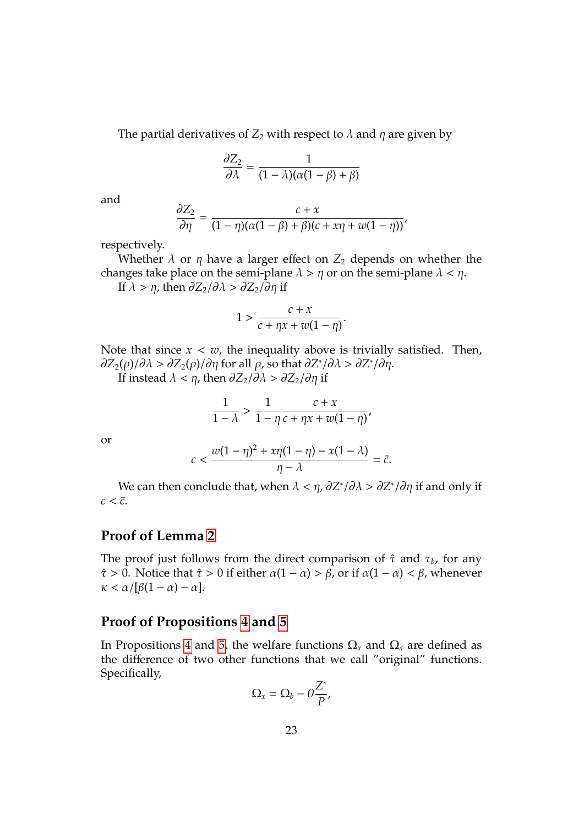The partial derivatives of  $Z_2$  with respect to  $\lambda$  and  $\eta$  are given by

$$
\frac{\partial Z_2}{\partial \lambda} = \frac{1}{(1 - \lambda)(\alpha(1 - \beta) + \beta)}
$$

and

$$
\frac{\partial Z_2}{\partial \eta} = \frac{c + x}{(1 - \eta)(\alpha(1 - \beta) + \beta)(c + x\eta + w(1 - \eta))'}
$$

respectively.

Whether  $\lambda$  or  $\eta$  have a larger effect on  $Z_2$  depends on whether the changes take place on the semi-plane  $\lambda > \eta$  or on the semi-plane  $\lambda < \eta$ .

If  $\lambda > \eta$ , then  $\partial Z_2/\partial \lambda > \partial Z_2/\partial \eta$  if

$$
1 > \frac{c+x}{c+\eta x+w(1-\eta)}.
$$

Note that since  $x < w$ , the inequality above is trivially satisfied. Then,  $\partial Z_2(\rho)/\partial\lambda > \partial Z_2(\rho)/\partial\eta$  for all  $\rho$ , so that  $\partial Z^*/\partial\lambda > \partial Z^*/\partial\eta$ .

If instead  $λ < η$ , then  $\frac{\partial Z_2}{\partial λ} > \frac{\partial Z_2}{\partial η}$  if

$$
\frac{1}{1-\lambda} > \frac{1}{1-\eta} \frac{c+x}{c+\eta x + w(1-\eta)}
$$

or

$$
c < \frac{w(1-\eta)^2 + x\eta(1-\eta) - x(1-\lambda)}{\eta - \lambda} = \bar{c}.
$$

We can then conclude that, when  $\lambda < \eta$ ,  $\partial Z^* / \partial \lambda > \partial Z^* / \partial \eta$  if and only if  $c < \bar{c}$ .

### **Proof of Lemma [2](#page-17-4)**

The proof just follows from the direct comparison of  $\hat{\tau}$  and  $\tau_b$ , for any  $\hat{\tau} > 0$ . Notice that  $\hat{\tau} > 0$  if either  $\alpha(1 - \alpha) > \beta$ , or if  $\alpha(1 - \alpha) < \beta$ , whenever  $\kappa < \alpha/[\beta(1-\alpha) - \alpha].$ 

#### **Proof of Propositions [4](#page-17-3) and [5](#page-18-3)**

In Propositions [4](#page-17-3) and [5,](#page-18-3) the welfare functions  $\Omega_x$  and  $\Omega_a$  are defined as the difference of two other functions that we call "original" functions. Specifically,

$$
\Omega_x = \Omega_b - \theta \frac{Z^*}{P},
$$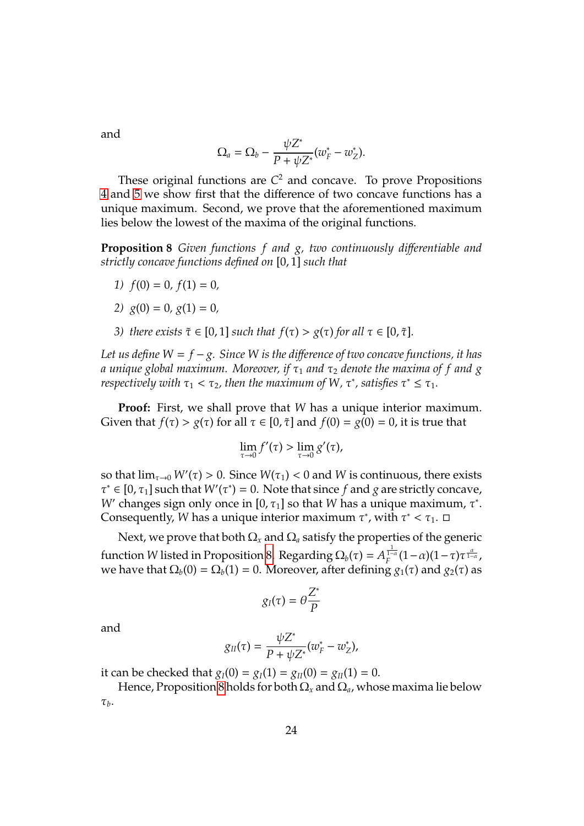and

$$
\Omega_a = \Omega_b - \frac{\psi Z^*}{P + \psi Z^*} (w_F^* - w_Z^*).
$$

These original functions are *C* <sup>2</sup> and concave. To prove Propositions [4](#page-17-3) and [5](#page-18-3) we show first that the difference of two concave functions has a unique maximum. Second, we prove that the aforementioned maximum lies below the lowest of the maxima of the original functions.

<span id="page-25-0"></span>**Proposition 8** *Given functions f and g, two continuously di*ff*erentiable and strictly concave functions defined on* [0, 1] *such that*

- *1)*  $f(0) = 0$ ,  $f(1) = 0$ ,
- 2)  $g(0) = 0, g(1) = 0$
- *3)* there exists  $\tilde{\tau} \in [0, 1]$  *such that*  $f(\tau) > g(\tau)$  *for all*  $\tau \in [0, \tilde{\tau}]$ *.*

*Let us define W* = *f* − *g. Since W is the di*ff*erence of two concave functions, it has a unique global maximum. Moreover, if* τ<sub>1</sub> *and* τ<sub>2</sub> *denote the maxima of f and g respectively with*  $\tau_1 < \tau_2$ , then the maximum of W,  $\tau^*$ , satisfies  $\tau^* \leq \tau_1$ .

**Proof:** First, we shall prove that *W* has a unique interior maximum. Given that  $f(\tau) > g(\tau)$  for all  $\tau \in [0, \tilde{\tau}]$  and  $f(0) = g(0) = 0$ , it is true that

$$
\lim_{\tau \to 0} f'(\tau) > \lim_{\tau \to 0} g'(\tau),
$$

so that  $\lim_{\tau\to 0} W'(\tau) > 0$ . Since  $W(\tau_1) < 0$  and W is continuous, there exists  $\tau^* \in [0, \tau_1]$  such that  $W'(\tau^*) = 0$ . Note that since *f* and *g* are strictly concave, *W*' changes sign only once in [0,  $\tau_1$ ] so that *W* has a unique maximum,  $\tau^*$ . Consequently, *W* has a unique interior maximum  $\tau^*$ , with  $\tau^* < \tau_1$ .

Next, we prove that both  $\Omega_x$  and  $\Omega_a$  satisfy the properties of the generic function *W* listed in Proposition [8.](#page-25-0) Regarding  $\Omega_b(\tau) = A_F^{\frac{1}{1-\alpha}}$  $\int_{F}^{\frac{1}{1-\alpha}} (1-\alpha)(1-\tau)\tau^{\frac{\alpha}{1-\alpha}}$ we have that  $\Omega_b(0) = \Omega_b(1) = 0$ . Moreover, after defining  $g_1(\tau)$  and  $g_2(\tau)$  as

$$
g_I(\tau)=\theta\frac{Z^*}{P}
$$

and

$$
g_{II}(\tau) = \frac{\psi Z^*}{P + \psi Z^*} (w_F^* - w_Z^*),
$$

it can be checked that  $g_{I}(0) = g_{I}(1) = g_{II}(0) = g_{II}(1) = 0$ .

Hence, Proposition [8](#page-25-0) holds for both  $\Omega_{\text{\tiny{\it X}}}$  and  $\Omega_{\text{\tiny{\it a}}}$ , whose maxima lie below τ*b*.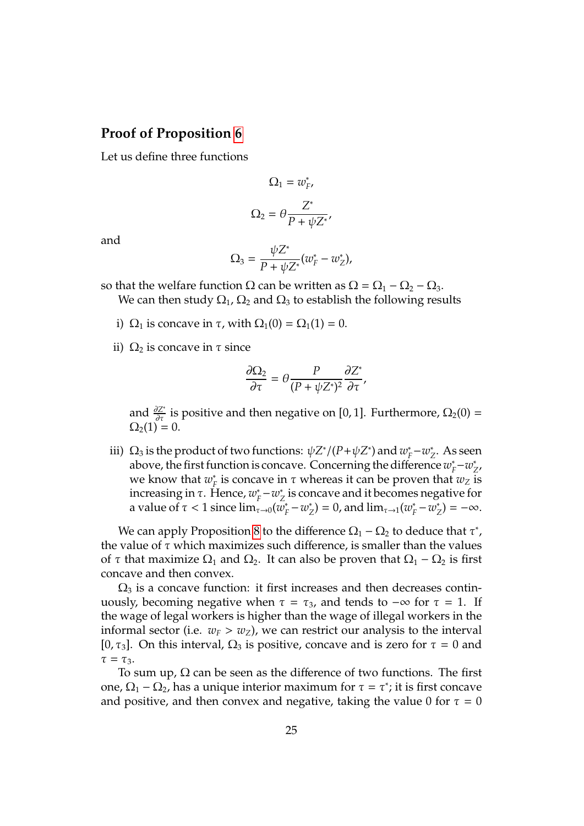#### **Proof of Proposition [6](#page-19-1)**

Let us define three functions

$$
\Omega_1 = w_F^*,
$$

$$
\Omega_2 = \theta \frac{Z^*}{P + \psi Z^*},
$$

and

$$
\Omega_3 = \frac{\psi Z^*}{P + \psi Z^*} (w_F^* - w_Z^*),
$$

so that the welfare function  $\Omega$  can be written as  $\Omega = \Omega_1 - \Omega_2 - \Omega_3$ .

We can then study  $\Omega_1$ ,  $\Omega_2$  and  $\Omega_3$  to establish the following results

- i)  $\Omega_1$  is concave in  $\tau$ , with  $\Omega_1(0) = \Omega_1(1) = 0$ .
- ii)  $\Omega_2$  is concave in  $\tau$  since

$$
\frac{\partial \Omega_2}{\partial \tau} = \theta \frac{P}{(P + \psi Z^*)^2} \frac{\partial Z^*}{\partial \tau},
$$

and  $\frac{\partial Z^*}{\partial \tau}$  is positive and then negative on [0, 1]. Furthermore,  $\Omega_2(0)$  =  $\Omega_2(1) = 0.$ 

iii)  $\Omega_3$  is the product of two functions:  $\psi Z^*/(P + \psi Z^*)$  and  $w_f^* - w_f^*$ *Z* . As seen above, the first function is concave. Concerning the difference  $w_f^*$  –  $w_f^*$ *Z* , we know that  $w^*$ <sub>*r*</sub>  $E_F^*$  is concave in  $\tau$  whereas it can be proven that  $w_Z$  is **increasing in τ. Hence,**  $w^*_{\text{F}}$ **−** $w^*_{\text{Z}}$  $_Z^*$  is concave and it becomes negative for a value of  $\tau < 1$  since  $\lim_{\tau \to 0} (\omega_f^* - w_i^*)$  $\chi^*_{Z}$ ) = 0, and  $\lim_{\tau \to 1} (w^*_{F} - w^*_{Z})$  $\binom{x}{Z} = -\infty.$ 

We can apply Proposition [8](#page-25-0) to the difference  $\Omega_1 - \Omega_2$  to deduce that  $\tau^*$ , the value of  $\tau$  which maximizes such difference, is smaller than the values of  $\tau$  that maximize  $\Omega_1$  and  $\Omega_2$ . It can also be proven that  $\Omega_1 - \Omega_2$  is first concave and then convex.

 $\Omega_3$  is a concave function: it first increases and then decreases continuously, becoming negative when  $\tau = \tau_3$ , and tends to  $-\infty$  for  $\tau = 1$ . If the wage of legal workers is higher than the wage of illegal workers in the informal sector (i.e.  $w_F > w_Z$ ), we can restrict our analysis to the interval [0,  $\tau_3$ ]. On this interval,  $\Omega_3$  is positive, concave and is zero for  $\tau = 0$  and  $\tau = \tau_3$ .

To sum up,  $\Omega$  can be seen as the difference of two functions. The first one,  $\Omega_1 - \Omega_2$ , has a unique interior maximum for  $\tau = \tau^*$ ; it is first concave and positive, and then convex and negative, taking the value 0 for  $\tau = 0$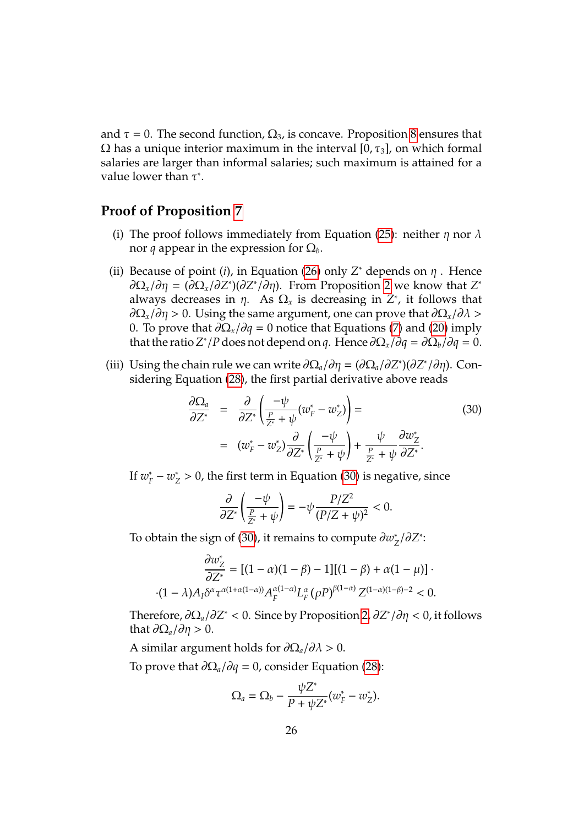and  $\tau = 0$ . The second function,  $\Omega_3$ , is concave. Proposition [8](#page-25-0) ensures that  $Ω$  has a unique interior maximum in the interval [0,  $τ_3$ ], on which formal salaries are larger than informal salaries; such maximum is attained for a value lower than  $\tau^*$ .

#### **Proof of Proposition [7](#page-20-0)**

- (i) The proof follows immediately from Equation [\(25\)](#page-16-1): neither  $\eta$  nor  $\lambda$ nor *q* appear in the expression for  $\Omega_b$ .
- (ii) Because of point (*i*), in Equation [\(26\)](#page-17-2) only  $Z^*$  depends on  $\eta$ . Hence  $\partial \Omega_x / \partial \eta = (\partial \Omega_x / \partial Z^*) (\partial Z^* / \partial \eta)$ . From Proposition [2](#page-10-1) we know that  $Z^*$ always decreases in  $\eta$ . As  $\Omega_x$  is decreasing in  $Z^*$ , it follows that  $\partial \Omega$ <sub>*x</sub>*/∂η > 0. Using the same argument, one can prove that  $\partial \Omega$ <sub>*x*</sub>/∂λ ></sub> 0. To prove that  $\partial \Omega_x / \partial q = 0$  notice that Equations [\(7\)](#page-6-3) and [\(20\)](#page-9-4) imply that the ratio  $Z^*/P$  does not depend on *q*. Hence  $\partial\Omega_x/\partial q = \partial\Omega_b/\partial q = 0$ .
- (iii) Using the chain rule we can write  $\partial \Omega_a / \partial \eta = (\partial \Omega_a / \partial Z^*) (\partial Z^* / \partial \eta)$ . Considering Equation [\(28\)](#page-18-4), the first partial derivative above reads

<span id="page-27-0"></span>
$$
\frac{\partial \Omega_a}{\partial Z^*} = \frac{\partial}{\partial Z^*} \left( \frac{-\psi}{\frac{P}{Z^*} + \psi} (w_F^* - w_Z^*) \right) =
$$
\n
$$
= (w_F^* - w_Z^*) \frac{\partial}{\partial Z^*} \left( \frac{-\psi}{\frac{P}{Z^*} + \psi} \right) + \frac{\psi}{\frac{P}{Z^*} + \psi} \frac{\partial w_Z^*}{\partial Z^*}.
$$
\n(30)

If  $w_F^* - w_Z^* > 0$ , the first term in Equation [\(30\)](#page-27-0) is negative, since

$$
\frac{\partial}{\partial Z^*} \left( \frac{-\psi}{\frac{P}{Z^*} + \psi} \right) = -\psi \frac{P/Z^2}{(P/Z + \psi)^2} < 0.
$$

To obtain the sign of [\(30\)](#page-27-0), it remains to compute ∂*w* ∗ *Z* /∂*Z* ∗ :

$$
\frac{\partial w_Z^*}{\partial Z^*} = \left[ (1-\alpha)(1-\beta) - 1 \right] \left[ (1-\beta) + \alpha(1-\mu) \right] \cdot \cdot (1-\lambda) A_I \delta^{\alpha} \tau^{\alpha(1+\alpha(1-\alpha))} A^{\alpha(1-\alpha)}_F L^{\alpha}_F (\rho P)^{\beta(1-\alpha)} Z^{(1-\alpha)(1-\beta)-2} < 0.
$$

Therefore, ∂Ω*a*/∂*Z* <sup>∗</sup> < 0. Since by Proposition [2,](#page-10-1) ∂*Z* ∗ /∂η < 0, it follows that  $\partial \Omega_a / \partial \eta > 0$ .

A similar argument holds for ∂Ω*a*/∂λ > 0.

To prove that  $\partial \Omega_a / \partial q = 0$ , consider Equation [\(28\)](#page-18-4):

$$
\Omega_a=\Omega_b-\frac{\psi Z^*}{P+\psi Z^*}(w_F^*-w_Z^*).
$$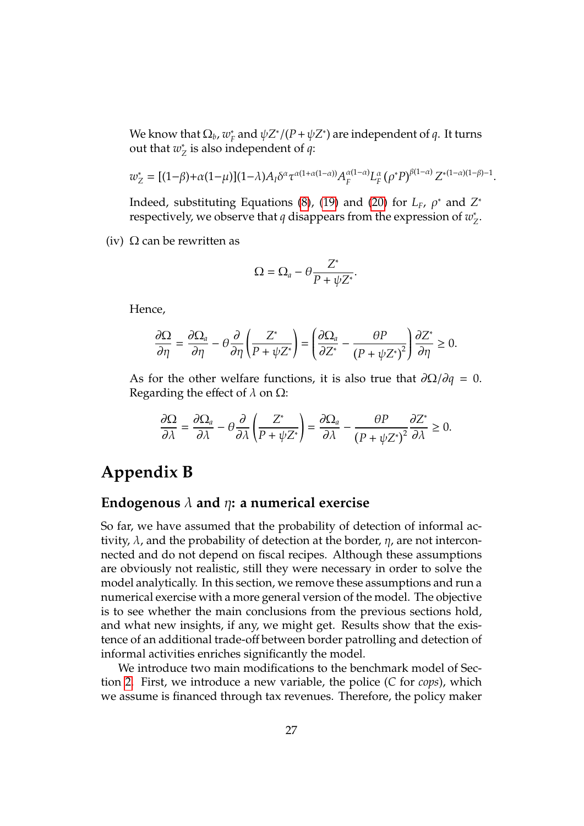We know that Ω*b*, *w* ∗  $\frac{f}{f}$  and  $\psi Z^* / (P + \psi Z^*)$  are independent of *q*. It turns out that  $w_7^*$  $_Z^*$  is also independent of  $q$ :

$$
w_Z^* = [(1-\beta)+\alpha(1-\mu)](1-\lambda)A_I\delta^{\alpha}\tau^{\alpha(1+\alpha(1-\alpha))}A_F^{\alpha(1-\alpha)}L_F^{\alpha}(\rho^*P)^{\beta(1-\alpha)}Z^{*(1-\alpha)(1-\beta)-1}.
$$

Indeed, substituting Equations [\(8\)](#page-6-4), [\(19\)](#page-9-4) and [\(20\)](#page-9-4) for  $L_F$ ,  $\rho^*$  and  $Z^*$ respectively, we observe that *q* disappears from the expression of  $w_7^*$ *Z* .

(iv)  $\Omega$  can be rewritten as

$$
\Omega = \Omega_a - \theta \frac{Z^*}{P + \psi Z^*}.
$$

Hence,

$$
\frac{\partial \Omega}{\partial \eta} = \frac{\partial \Omega_a}{\partial \eta} - \theta \frac{\partial}{\partial \eta} \left( \frac{Z^*}{P + \psi Z^*} \right) = \left( \frac{\partial \Omega_a}{\partial Z^*} - \frac{\theta P}{\left( P + \psi Z^* \right)^2} \right) \frac{\partial Z^*}{\partial \eta} \ge 0.
$$

As for the other welfare functions, it is also true that  $\frac{\partial \Omega}{\partial q} = 0$ . Regarding the effect of  $\lambda$  on  $\Omega$ :

$$
\frac{\partial \Omega}{\partial \lambda} = \frac{\partial \Omega_a}{\partial \lambda} - \theta \frac{\partial}{\partial \lambda} \left( \frac{Z^*}{P + \psi Z^*} \right) = \frac{\partial \Omega_a}{\partial \lambda} - \frac{\theta P}{\left( P + \psi Z^* \right)^2} \frac{\partial Z^*}{\partial \lambda} \ge 0.
$$

### **Appendix B**

#### <span id="page-28-0"></span>**Endogenous** λ **and** η**: a numerical exercise**

So far, we have assumed that the probability of detection of informal activity,  $\lambda$ , and the probability of detection at the border,  $\eta$ , are not interconnected and do not depend on fiscal recipes. Although these assumptions are obviously not realistic, still they were necessary in order to solve the model analytically. In this section, we remove these assumptions and run a numerical exercise with a more general version of the model. The objective is to see whether the main conclusions from the previous sections hold, and what new insights, if any, we might get. Results show that the existence of an additional trade-off between border patrolling and detection of informal activities enriches significantly the model.

We introduce two main modifications to the benchmark model of Section [2.](#page-5-0) First, we introduce a new variable, the police (*C* for *cops*), which we assume is financed through tax revenues. Therefore, the policy maker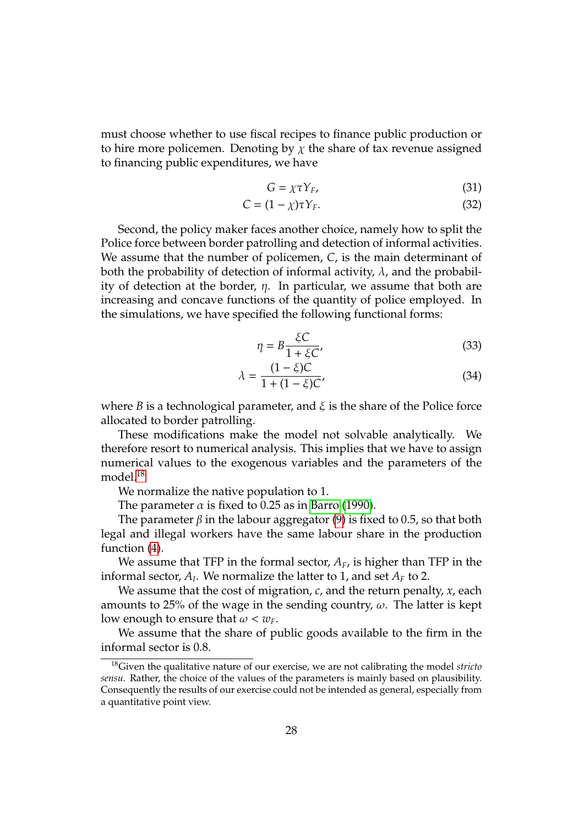must choose whether to use fiscal recipes to finance public production or to hire more policemen. Denoting by  $\chi$  the share of tax revenue assigned to financing public expenditures, we have

$$
G = \chi \tau Y_F,\tag{31}
$$

$$
C = (1 - \chi)\tau Y_F. \tag{32}
$$

Second, the policy maker faces another choice, namely how to split the Police force between border patrolling and detection of informal activities. We assume that the number of policemen, *C*, is the main determinant of both the probability of detection of informal activity,  $\lambda$ , and the probability of detection at the border,  $\eta$ . In particular, we assume that both are increasing and concave functions of the quantity of police employed. In the simulations, we have specified the following functional forms:

<span id="page-29-1"></span>
$$
\eta = B \frac{\xi C}{1 + \xi C'}
$$
\n(33)

$$
\lambda = \frac{(1 - \xi)C}{1 + (1 - \xi)C},\tag{34}
$$

where *B* is a technological parameter, and  $\xi$  is the share of the Police force allocated to border patrolling.

These modifications make the model not solvable analytically. We therefore resort to numerical analysis. This implies that we have to assign numerical values to the exogenous variables and the parameters of the model.<sup>[18](#page-29-0)</sup>

We normalize the native population to 1.

The parameter  $\alpha$  is fixed to 0.25 as in [Barro](#page-21-3) [\(1990\)](#page-21-3).

The parameter  $\beta$  in the labour aggregator [\(9\)](#page-6-2) is fixed to 0.5, so that both legal and illegal workers have the same labour share in the production function [\(4\)](#page-5-2).

We assume that TFP in the formal sector,  $A_F$ , is higher than TFP in the informal sector*,*  $A_I$ *. We normalize the latter to 1, and set*  $A_F$  *to 2.* 

We assume that the cost of migration, *c*, and the return penalty, *x*, each amounts to 25% of the wage in the sending country,  $\omega$ . The latter is kept low enough to ensure that  $\omega < w_F$ .

We assume that the share of public goods available to the firm in the informal sector is 0.8.

<span id="page-29-0"></span><sup>18</sup>Given the qualitative nature of our exercise, we are not calibrating the model *stricto sensu*. Rather, the choice of the values of the parameters is mainly based on plausibility. Consequently the results of our exercise could not be intended as general, especially from a quantitative point view.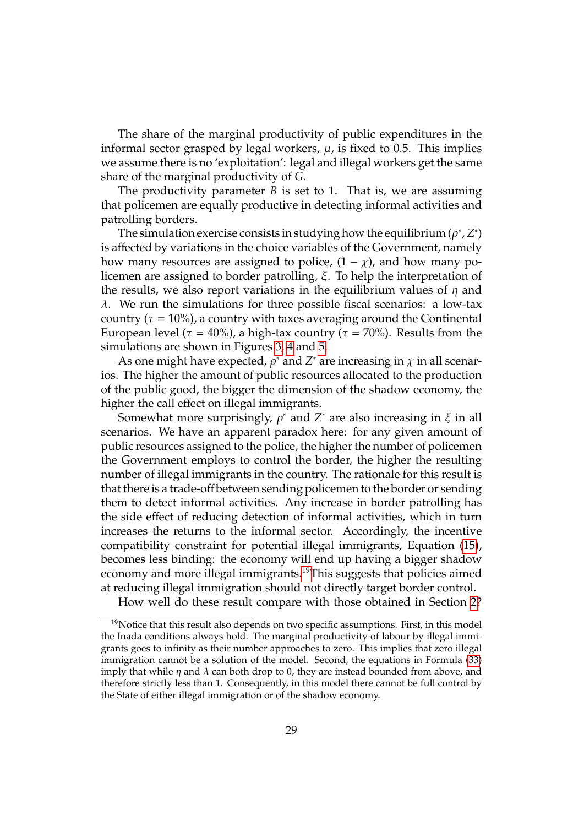The share of the marginal productivity of public expenditures in the informal sector grasped by legal workers,  $\mu$ , is fixed to 0.5. This implies we assume there is no 'exploitation': legal and illegal workers get the same share of the marginal productivity of *G*.

The productivity parameter *B* is set to 1. That is, we are assuming that policemen are equally productive in detecting informal activities and patrolling borders.

The simulation exercise consists in studying how the equilibrium ( $\rho^*$ , Z<sup>\*</sup>) is affected by variations in the choice variables of the Government, namely how many resources are assigned to police,  $(1 - \chi)$ , and how many policemen are assigned to border patrolling, ξ. To help the interpretation of the results, we also report variations in the equilibrium values of  $\eta$  and  $\lambda$ . We run the simulations for three possible fiscal scenarios: a low-tax country ( $\tau = 10\%$ ), a country with taxes averaging around the Continental European level ( $\tau = 40\%$ ), a high-tax country ( $\tau = 70\%$ ). Results from the simulations are shown in Figures [3,](#page-31-0) [4](#page-32-0) and [5.](#page-32-1)

As one might have expected,  $\rho^*$  and  $Z^*$  are increasing in  $\chi$  in all scenarios. The higher the amount of public resources allocated to the production of the public good, the bigger the dimension of the shadow economy, the higher the call effect on illegal immigrants.

Somewhat more surprisingly,  $\rho^*$  and *Z*<sup>\*</sup> are also increasing in *ξ* in all scenarios. We have an apparent paradox here: for any given amount of public resources assigned to the police, the higher the number of policemen the Government employs to control the border, the higher the resulting number of illegal immigrants in the country. The rationale for this result is that there is a trade-off between sending policemen to the border or sending them to detect informal activities. Any increase in border patrolling has the side effect of reducing detection of informal activities, which in turn increases the returns to the informal sector. Accordingly, the incentive compatibility constraint for potential illegal immigrants, Equation [\(15\)](#page-8-1), becomes less binding: the economy will end up having a bigger shadow economy and more illegal immigrants.[19](#page-30-0)This suggests that policies aimed at reducing illegal immigration should not directly target border control.

<span id="page-30-0"></span>How well do these result compare with those obtained in Section [2?](#page-5-0)

 $19$ Notice that this result also depends on two specific assumptions. First, in this model the Inada conditions always hold. The marginal productivity of labour by illegal immigrants goes to infinity as their number approaches to zero. This implies that zero illegal immigration cannot be a solution of the model. Second, the equations in Formula [\(33\)](#page-29-1) imply that while  $\eta$  and  $\lambda$  can both drop to 0, they are instead bounded from above, and therefore strictly less than 1. Consequently, in this model there cannot be full control by the State of either illegal immigration or of the shadow economy.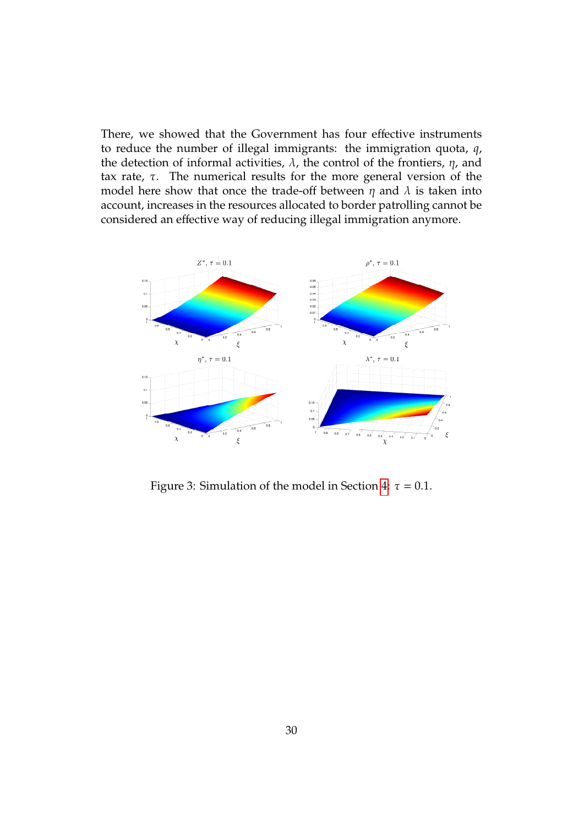There, we showed that the Government has four effective instruments to reduce the number of illegal immigrants: the immigration quota, *q*, the detection of informal activities,  $\lambda$ , the control of the frontiers,  $\eta$ , and tax rate,  $τ$ . The numerical results for the more general version of the model here show that once the trade-off between  $\eta$  and  $\lambda$  is taken into account, increases in the resources allocated to border patrolling cannot be considered an effective way of reducing illegal immigration anymore.

<span id="page-31-0"></span>

Figure 3: Simulation of the model in Section [4:](#page-28-0)  $\tau = 0.1$ .